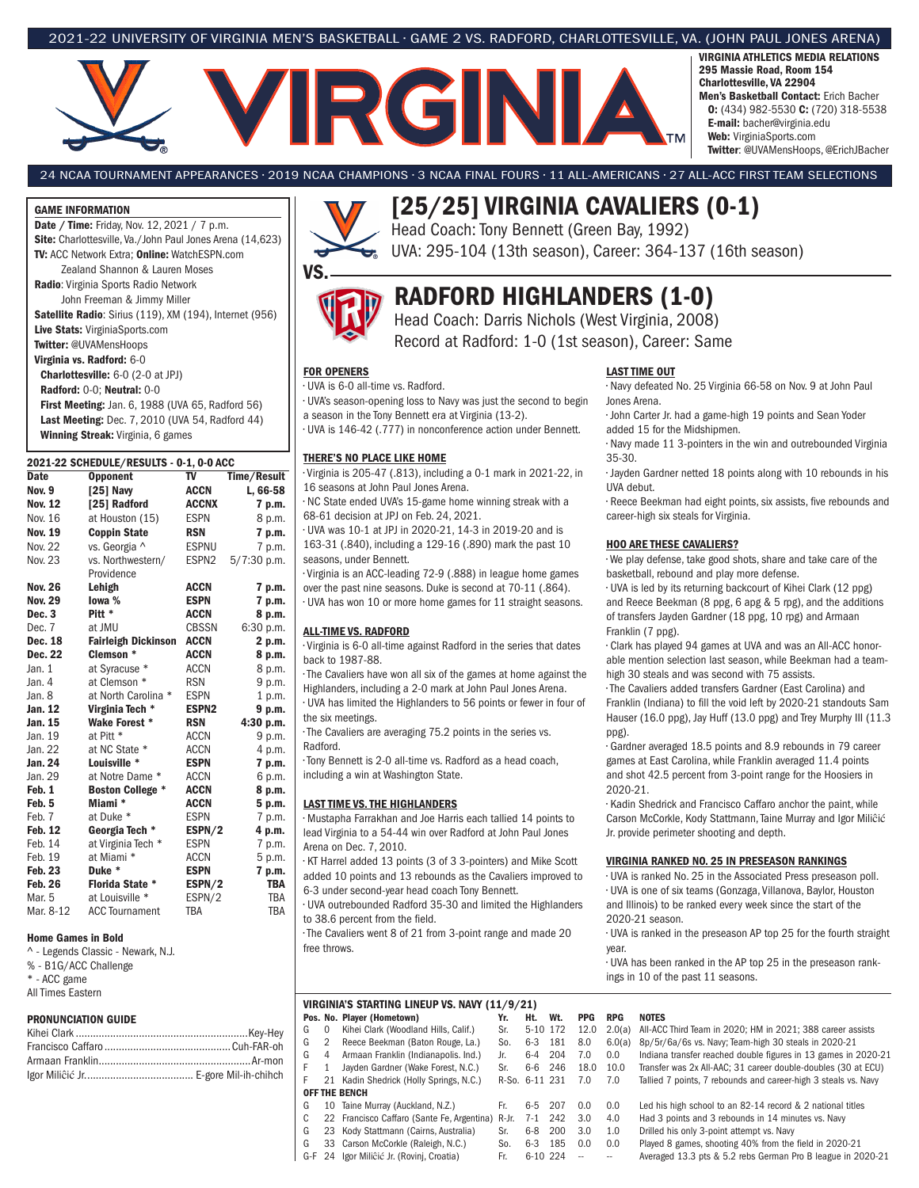## 2021-22 UNIVERSITY OF VIRGINIA MEN'S BASKETBALL • GAME 2 VS. RADFORD, CHARLOTTESVILLE, VA. (JOHN PAUL JONES ARENA)



VIRGINIA ATHLETICS MEDIA RELATIONS 295 Massie Road, Room 154 Charlottesville, VA 22904 Men's Basketball Contact: Erich Bacher O: (434) 982-5530 C: (720) 318-5538 E-mail: bacher@virginia.edu Web: VirginiaSports.com Twitter: @UVAMensHoops, @ErichJBacher

24 NCAA TOURNAMENT APPEARANCES • 2019 NCAA CHAMPIONS • 3 NCAA FINAL FOURS • 11 ALL-AMERICANS • 27 ALL-ACC FIRST TEAM SELECTIONS

### GAME INFORMATION

Date / Time: Friday, Nov. 12, 2021 / 7 p.m. Site: Charlottesville, Va./John Paul Jones Arena (14,623) TV: ACC Network Extra; Online: WatchESPN.com Zealand Shannon & Lauren Moses Radio: Virginia Sports Radio Network John Freeman & Jimmy Miller

Satellite Radio: Sirius (119), XM (194), Internet (956) Live Stats: VirginiaSports.com

Twitter: @UVAMensHoops Virginia vs. Radford: 6-0

Charlottesville: 6-0 (2-0 at JPJ) Radford: 0-0; Neutral: 0-0

First Meeting: Jan. 6, 1988 (UVA 65, Radford 56) Last Meeting: Dec. 7, 2010 (UVA 54, Radford 44) Winning Streak: Virginia, 6 games

| 2021-22 SCHEDULE/RESULTS - 0-1, 0-0 ACC |                                  |                      |                      |  |  |  |  |  |  |
|-----------------------------------------|----------------------------------|----------------------|----------------------|--|--|--|--|--|--|
| Date                                    | <b>Opponent</b>                  | TV                   | Time/Result          |  |  |  |  |  |  |
| <b>Nov. 9</b>                           | [25] Navy                        | <b>ACCN</b>          | L, 66-58             |  |  |  |  |  |  |
| <b>Nov. 12</b>                          | [25] Radford                     | <b>ACCNX</b>         | 7 p.m.               |  |  |  |  |  |  |
| Nov. 16                                 | at Houston (15)                  | <b>ESPN</b>          | 8 p.m.               |  |  |  |  |  |  |
| <b>Nov. 19</b>                          | <b>Coppin State</b>              | <b>RSN</b>           | 7 p.m.               |  |  |  |  |  |  |
| Nov. 22                                 | vs. Georgia ^                    | <b>ESPNU</b>         | 7 p.m.               |  |  |  |  |  |  |
| Nov. 23                                 | vs. Northwestern/                | ESPN <sub>2</sub>    | $5/7:30$ p.m.        |  |  |  |  |  |  |
|                                         | Providence                       |                      |                      |  |  |  |  |  |  |
| <b>Nov. 26</b>                          | Lehigh                           | <b>ACCN</b>          | 7 p.m.               |  |  |  |  |  |  |
| <b>Nov. 29</b>                          | lowa %                           | <b>ESPN</b>          | 7 p.m.               |  |  |  |  |  |  |
| Dec. <sub>3</sub>                       | Pitt *                           | <b>ACCN</b>          | 8 p.m.               |  |  |  |  |  |  |
| Dec. 7                                  | at JMU                           | <b>CBSSN</b>         | 6:30 p.m.            |  |  |  |  |  |  |
| Dec. 18                                 | <b>Fairleigh Dickinson</b>       | <b>ACCN</b>          | 2 p.m.               |  |  |  |  |  |  |
| Dec. 22                                 | Clemson *                        | <b>ACCN</b>          | 8 p.m.               |  |  |  |  |  |  |
| Jan. $1$                                | at Syracuse *                    | <b>ACCN</b>          | 8 p.m.               |  |  |  |  |  |  |
| Jan. 4                                  | at Clemson *                     | <b>RSN</b>           | 9 p.m.               |  |  |  |  |  |  |
| Jan. 8                                  | at North Carolina *              | <b>ESPN</b>          | 1 p.m.               |  |  |  |  |  |  |
| Jan. 12                                 | Virginia Tech *                  | <b>ESPN2</b>         | 9 p.m.               |  |  |  |  |  |  |
| Jan. 15                                 | Wake Forest *                    | <b>RSN</b>           | 4:30 p.m.            |  |  |  |  |  |  |
| Jan. 19                                 | at Pitt *                        | ACCN                 | 9 p.m.               |  |  |  |  |  |  |
| Jan. 22                                 | at NC State *                    | <b>ACCN</b>          | 4 p.m.               |  |  |  |  |  |  |
| Jan. 24                                 | Louisville *                     | <b>ESPN</b>          | 7 p.m.               |  |  |  |  |  |  |
| Jan. 29                                 | at Notre Dame *                  | ACCN                 | 6 p.m.               |  |  |  |  |  |  |
| Feb. 1                                  | <b>Boston College *</b>          | <b>ACCN</b>          | 8 p.m.               |  |  |  |  |  |  |
| Feb. 5                                  | Miami *                          | <b>ACCN</b>          | 5 p.m.               |  |  |  |  |  |  |
| Feb. 7                                  | at Duke *                        | <b>ESPN</b>          | 7 p.m.               |  |  |  |  |  |  |
| Feb. 12                                 | Georgia Tech *                   | ESPN/2               | 4 p.m.               |  |  |  |  |  |  |
| Feb. 14                                 | at Virginia Tech *               | <b>ESPN</b>          | 7 p.m.               |  |  |  |  |  |  |
| Feb. 19                                 | at Miami *                       | <b>ACCN</b>          | 5 p.m.               |  |  |  |  |  |  |
| <b>Feb. 23</b><br><b>Feb. 26</b>        | Duke *<br><b>Florida State *</b> | <b>ESPN</b>          | 7 p.m.<br><b>TBA</b> |  |  |  |  |  |  |
| Mar. 5                                  | at Louisville *                  | ESPN/2               | <b>TBA</b>           |  |  |  |  |  |  |
| Mar. 8-12                               | <b>ACC Tournament</b>            | ESPN/2<br><b>TBA</b> | <b>TBA</b>           |  |  |  |  |  |  |
|                                         |                                  |                      |                      |  |  |  |  |  |  |

#### Home Games in Bold

^ - Legends Classic - Newark, N.J. % - B1G/ACC Challenge \* - ACC game All Times Eastern

### PRONUNCIATION GUIDE



## [25/25] VIRGINIA CAVALIERS (0-1) Head Coach: Tony Bennett (Green Bay, 1992)

UVA: 295-104 (13th season), Career: 364-137 (16th season)

## RADFORD HIGHLANDERS (1-0)

Head Coach: Darris Nichols (West Virginia, 2008) Record at Radford: 1-0 (1st season), Career: Same

FOR OPENERS

VS.

## • UVA is 6-0 all-time vs. Radford.

• UVA's season-opening loss to Navy was just the second to begin a season in the Tony Bennett era at Virginia (13-2).

• UVA is 146-42 (.777) in nonconference action under Bennett.

#### THERE'S NO PLACE LIKE HOME

• Virginia is 205-47 (.813), including a 0-1 mark in 2021-22, in 16 seasons at John Paul Jones Arena.

• NC State ended UVA's 15-game home winning streak with a 68-61 decision at JPJ on Feb. 24, 2021.

• UVA was 10-1 at JPJ in 2020-21, 14-3 in 2019-20 and is 163-31 (.840), including a 129-16 (.890) mark the past 10 seasons, under Bennett.

• Virginia is an ACC-leading 72-9 (.888) in league home games over the past nine seasons. Duke is second at 70-11 (.864).

• UVA has won 10 or more home games for 11 straight seasons.

### ALL-TIME VS. RADFORD

• Virginia is 6-0 all-time against Radford in the series that dates back to 1987-88.

• The Cavaliers have won all six of the games at home against the Highlanders, including a 2-0 mark at John Paul Jones Arena.

• UVA has limited the Highlanders to 56 points or fewer in four of the six meetings.

• The Cavaliers are averaging 75.2 points in the series vs. Radford.

• Tony Bennett is 2-0 all-time vs. Radford as a head coach, including a win at Washington State.

### LAST TIME VS. THE HIGHLANDERS

• Mustapha Farrakhan and Joe Harris each tallied 14 points to lead Virginia to a 54-44 win over Radford at John Paul Jones Arena on Dec. 7, 2010.

• KT Harrel added 13 points (3 of 3 3-pointers) and Mike Scott

added 10 points and 13 rebounds as the Cavaliers improved to 6-3 under second-year head coach Tony Bennett.

• UVA outrebounded Radford 35-30 and limited the Highlanders to 38.6 percent from the field.

• The Cavaliers went 8 of 21 from 3-point range and made 20 free throws.

### LAST TIME OUT

• Navy defeated No. 25 Virginia 66-58 on Nov. 9 at John Paul Jones Arena.

• John Carter Jr. had a game-high 19 points and Sean Yoder added 15 for the Midshipmen.

• Navy made 11 3-pointers in the win and outrebounded Virginia 35-30.

• Jayden Gardner netted 18 points along with 10 rebounds in his UVA debut.

• Reece Beekman had eight points, six assists, five rebounds and career-high six steals for Virginia.

### HOO ARE THESE CAVALIERS?

• We play defense, take good shots, share and take care of the basketball, rebound and play more defense.

• UVA is led by its returning backcourt of Kihei Clark (12 ppg) and Reece Beekman (8 ppg, 6 apg & 5 rpg), and the additions of transfers Jayden Gardner (18 ppg, 10 rpg) and Armaan Franklin (7 ppg).

• Clark has played 94 games at UVA and was an All-ACC honorable mention selection last season, while Beekman had a teamhigh 30 steals and was second with 75 assists.

• The Cavaliers added transfers Gardner (East Carolina) and

Franklin (Indiana) to fill the void left by 2020-21 standouts Sam Hauser (16.0 ppg), Jay Huff (13.0 ppg) and Trey Murphy III (11.3 ppg).

• Gardner averaged 18.5 points and 8.9 rebounds in 79 career games at East Carolina, while Franklin averaged 11.4 points and shot 42.5 percent from 3-point range for the Hoosiers in 2020-21.

• Kadin Shedrick and Francisco Caffaro anchor the paint, while Carson McCorkle, Kody Stattmann, Taine Murray and Igor Miliĉić Jr. provide perimeter shooting and depth.

#### VIRGINIA RANKED NO. 25 IN PRESEASON RANKINGS

• UVA is ranked No. 25 in the Associated Press preseason poll. • UVA is one of six teams (Gonzaga, Villanova, Baylor, Houston and Illinois) to be ranked every week since the start of the 2020-21 season.

• UVA is ranked in the preseason AP top 25 for the fourth straight year.

• UVA has been ranked in the AP top 25 in the preseason rankings in 10 of the past 11 seasons.

|       |     |          | VIRGINIA'S STARTING LINEUP VS. NAVY (11/9/21)    |                |          |     |            |            |                                                                   |
|-------|-----|----------|--------------------------------------------------|----------------|----------|-----|------------|------------|-------------------------------------------------------------------|
|       |     |          | Pos. No. Player (Hometown)                       | Yr.            | Ht.      | Wt. | <b>PPG</b> | <b>RPG</b> | <b>NOTES</b>                                                      |
| -Hev  | G   | $\Omega$ | Kihei Clark (Woodland Hills, Calif.)             | Sr.            | 5-10 172 |     | 12.0       |            | 2.0(a) All-ACC Third Team in 2020; HM in 2021; 388 career assists |
| R-oh  | G   | 2        | Reece Beekman (Baton Rouge, La.)                 | So.            | $6 - 3$  | 181 | 8.0        | 6.0(a)     | 8p/5r/6a/6s vs. Navy; Team-high 30 steals in 2020-21              |
| -mon  | G   | 4        | Armaan Franklin (Indianapolis. Ind.)             | Jr.            | $6 - 4$  | 204 | 7.0        | 0.0        | Indiana transfer reached double figures in 13 games in 2020-21    |
|       |     |          | Javden Gardner (Wake Forest, N.C.)               | Sr.            | $6-6$    | 246 | 18.0       | 10.0       | Transfer was 2x All-AAC: 31 career double-doubles (30 at ECU)     |
| hihch |     |          | 21 Kadin Shedrick (Holly Springs, N.C.)          | R-So. 6-11 231 |          |     | 7.0        | 7.0        | Tallied 7 points, 7 rebounds and career-high 3 steals vs. Navy    |
|       |     |          | <b>OFF THE BENCH</b>                             |                |          |     |            |            |                                                                   |
|       | G   | 10       | Taine Murray (Auckland, N.Z.)                    | Fr.            | $6 - 5$  | 207 | 0.0        | 0.0        | Led his high school to an 82-14 record & 2 national titles        |
|       | C   |          | 22 Francisco Caffaro (Sante Fe, Argentina) R-Jr. |                | $7 - 1$  | 242 | 3.0        | 4.0        | Had 3 points and 3 rebounds in 14 minutes vs. Navy                |
|       | G   |          | 23 Kody Stattmann (Cairns, Australia)            | Sr.            | $6-8$    | 200 | 3.0        | 1.0        | Drilled his only 3-point attempt vs. Navy                         |
|       | G   |          | 33 Carson McCorkle (Raleigh, N.C.)               | So.            | $6-3$    | 185 | 0.0        | 0.0        | Played 8 games, shooting 40% from the field in 2020-21            |
|       | G-F |          | 24 Igor Miliĉić Jr. (Rovinj, Croatia)            | Fr.            | 6-10 224 |     |            |            | Averaged 13.3 pts & 5.2 rebs German Pro B league in 2020-21       |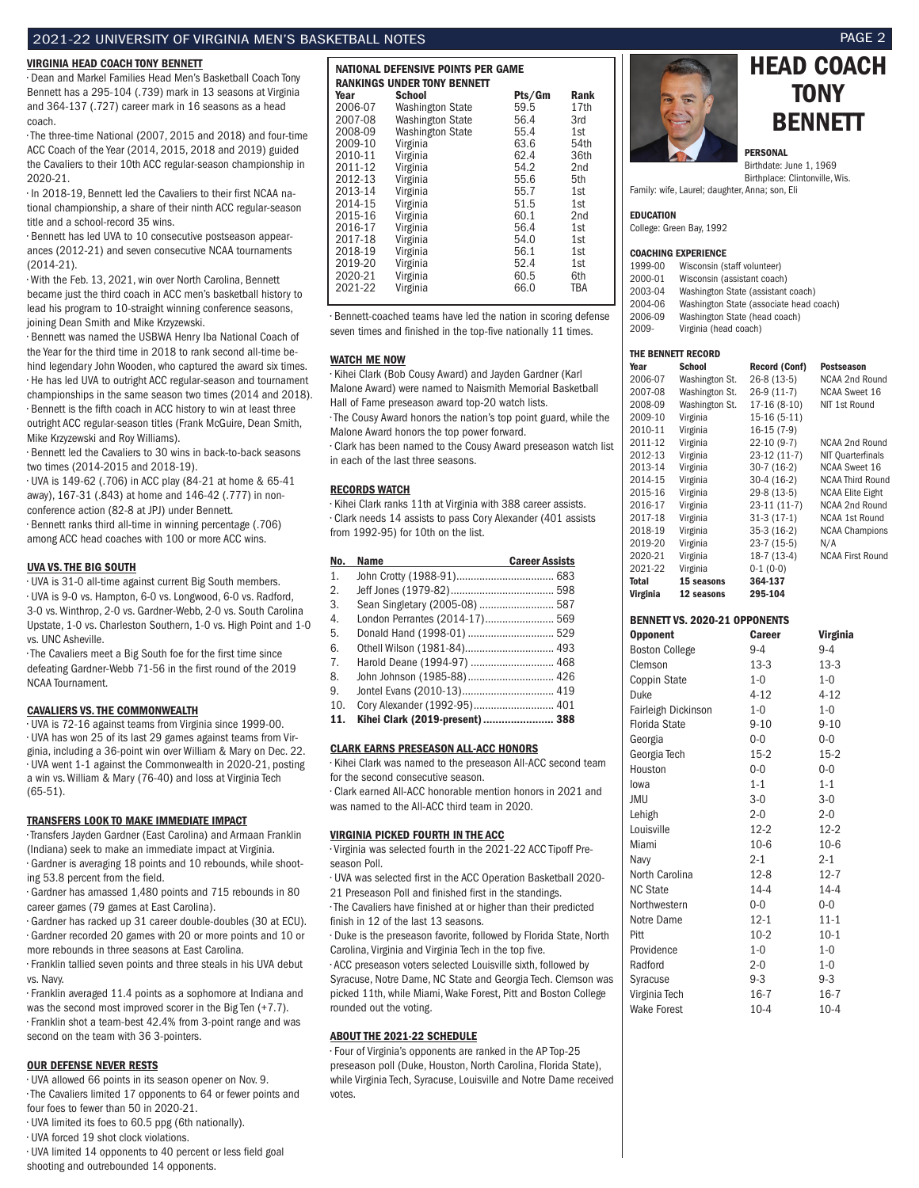### 2021-22 UNIVERSITY OF VIRGINIA MEN'S BASKETBALL NOTES PAGE 2

### VIRGINIA HEAD COACH TONY BENNETT

• Dean and Markel Families Head Men's Basketball Coach Tony Bennett has a 295-104 (.739) mark in 13 seasons at Virginia and 364-137 (.727) career mark in 16 seasons as a head coach.

• The three-time National (2007, 2015 and 2018) and four-time ACC Coach of the Year (2014, 2015, 2018 and 2019) guided the Cavaliers to their 10th ACC regular-season championship in 2020-21.

• In 2018-19, Bennett led the Cavaliers to their first NCAA national championship, a share of their ninth ACC regular-season title and a school-record 35 wins.

• Bennett has led UVA to 10 consecutive postseason appearances (2012-21) and seven consecutive NCAA tournaments (2014-21).

• With the Feb. 13, 2021, win over North Carolina, Bennett became just the third coach in ACC men's basketball history to lead his program to 10-straight winning conference seasons, joining Dean Smith and Mike Krzyzewski.

• Bennett was named the USBWA Henry Iba National Coach of the Year for the third time in 2018 to rank second all-time behind legendary John Wooden, who captured the award six times. • He has led UVA to outright ACC regular-season and tournament championships in the same season two times (2014 and 2018). • Bennett is the fifth coach in ACC history to win at least three outright ACC regular-season titles (Frank McGuire, Dean Smith, Mike Krzyzewski and Roy Williams).

• Bennett led the Cavaliers to 30 wins in back-to-back seasons two times (2014-2015 and 2018-19).

• UVA is 149-62 (.706) in ACC play (84-21 at home & 65-41 away), 167-31 (.843) at home and 146-42 (.777) in nonconference action (82-8 at JPJ) under Bennett.

• Bennett ranks third all-time in winning percentage (.706) among ACC head coaches with 100 or more ACC wins.

### UVA VS. THE BIG SOUTH

• UVA is 31-0 all-time against current Big South members. • UVA is 9-0 vs. Hampton, 6-0 vs. Longwood, 6-0 vs. Radford, 3-0 vs. Winthrop, 2-0 vs. Gardner-Webb, 2-0 vs. South Carolina Upstate, 1-0 vs. Charleston Southern, 1-0 vs. High Point and 1-0 vs. UNC Asheville.

• The Cavaliers meet a Big South foe for the first time since defeating Gardner-Webb 71-56 in the first round of the 2019 NCAA Tournament.

### CAVALIERS VS. THE COMMONWEALTH

• UVA is 72-16 against teams from Virginia since 1999-00. • UVA has won 25 of its last 29 games against teams from Virginia, including a 36-point win over William & Mary on Dec. 22. • UVA went 1-1 against the Commonwealth in 2020-21, posting a win vs. William & Mary (76-40) and loss at Virginia Tech (65-51).

### TRANSFERS LOOK TO MAKE IMMEDIATE IMPACT

• Transfers Jayden Gardner (East Carolina) and Armaan Franklin (Indiana) seek to make an immediate impact at Virginia. • Gardner is averaging 18 points and 10 rebounds, while shooting 53.8 percent from the field.

• Gardner has amassed 1,480 points and 715 rebounds in 80 career games (79 games at East Carolina).

• Gardner has racked up 31 career double-doubles (30 at ECU). • Gardner recorded 20 games with 20 or more points and 10 or more rebounds in three seasons at East Carolina.

• Franklin tallied seven points and three steals in his UVA debut vs. Navy.

• Franklin averaged 11.4 points as a sophomore at Indiana and was the second most improved scorer in the Big Ten (+7.7). • Franklin shot a team-best 42.4% from 3-point range and was second on the team with 36 3-pointers.

### OUR DEFENSE NEVER RESTS

• UVA allowed 66 points in its season opener on Nov. 9. • The Cavaliers limited 17 opponents to 64 or fewer points and four foes to fewer than 50 in 2020-21.

• UVA limited its foes to 60.5 ppg (6th nationally).

• UVA forced 19 shot clock violations.

• UVA limited 14 opponents to 40 percent or less field goal shooting and outrebounded 14 opponents.

| NATIONAL DEFENSIVE POINTS PER GAME |                                    |        |      |  |  |  |  |  |
|------------------------------------|------------------------------------|--------|------|--|--|--|--|--|
|                                    | <b>RANKINGS UNDER TONY BENNETT</b> |        |      |  |  |  |  |  |
| Year                               | <b>School</b>                      | Pts/Gm | Rank |  |  |  |  |  |
| 2006-07                            | <b>Washington State</b>            | 59.5   | 17th |  |  |  |  |  |
| 2007-08                            | <b>Washington State</b>            | 56.4   | 3rd  |  |  |  |  |  |
| 2008-09                            | <b>Washington State</b>            | 55.4   | 1st  |  |  |  |  |  |
| 2009-10                            | Virginia                           | 63.6   | 54th |  |  |  |  |  |
| 2010-11                            | Virginia                           | 62.4   | 36th |  |  |  |  |  |
| 2011-12                            | Virginia                           | 54.2   | 2nd  |  |  |  |  |  |
| 2012-13                            | Virginia                           | 55.6   | 5th  |  |  |  |  |  |
| 2013-14                            | Virginia                           | 55.7   | 1st  |  |  |  |  |  |
| 2014-15                            | Virginia                           | 51.5   | 1st  |  |  |  |  |  |
| 2015-16                            | Virginia                           | 60.1   | 2nd  |  |  |  |  |  |
| 2016-17                            | Virginia                           | 56.4   | 1st  |  |  |  |  |  |
| 2017-18                            | Virginia                           | 54.0   | 1st  |  |  |  |  |  |
| 2018-19                            | Virginia                           | 56.1   | 1st  |  |  |  |  |  |
| 2019-20                            | Virginia                           | 52.4   | 1st  |  |  |  |  |  |
| 2020-21                            | Virginia                           | 60.5   | 6th  |  |  |  |  |  |
| 2021-22                            | Virginia                           | 66.0   | TBA  |  |  |  |  |  |

• Bennett-coached teams have led the nation in scoring defense seven times and finished in the top-five nationally 11 times.

#### WATCH ME NOW

• Kihei Clark (Bob Cousy Award) and Jayden Gardner (Karl Malone Award) were named to Naismith Memorial Basketball Hall of Fame preseason award top-20 watch lists.

• The Cousy Award honors the nation's top point guard, while the Malone Award honors the top power forward.

• Clark has been named to the Cousy Award preseason watch list in each of the last three seasons.

#### RECORDS WATCH

• Kihei Clark ranks 11th at Virginia with 388 career assists. • Clark needs 14 assists to pass Cory Alexander (401 assists from 1992-95) for 10th on the list.

| No.            | <b>Name</b>                     | <b>Career Assists</b> |
|----------------|---------------------------------|-----------------------|
| 1.             |                                 |                       |
| 2.             |                                 |                       |
| 3.             | Sean Singletary (2005-08)  587  |                       |
| 4.             | London Perrantes (2014-17) 569  |                       |
| 5.             |                                 |                       |
| 6.             |                                 |                       |
| 7 <sub>1</sub> | Harold Deane (1994-97)  468     |                       |
| 8.             | John Johnson (1985-88) 426      |                       |
| 9.             |                                 |                       |
| 10.            | Cory Alexander (1992-95) 401    |                       |
| 11.            | Kihei Clark (2019-present)  388 |                       |

#### CLARK EARNS PRESEASON ALL-ACC HONORS

• Kihei Clark was named to the preseason All-ACC second team for the second consecutive season.

• Clark earned All-ACC honorable mention honors in 2021 and was named to the All-ACC third team in 2020.

### VIRGINIA PICKED FOURTH IN THE ACC

• Virginia was selected fourth in the 2021-22 ACC Tipoff Preseason Poll.

• UVA was selected first in the ACC Operation Basketball 2020-

21 Preseason Poll and finished first in the standings. • The Cavaliers have finished at or higher than their predicted finish in 12 of the last 13 seasons.

• Duke is the preseason favorite, followed by Florida State, North Carolina, Virginia and Virginia Tech in the top five.

• ACC preseason voters selected Louisville sixth, followed by Syracuse, Notre Dame, NC State and Georgia Tech. Clemson was picked 11th, while Miami, Wake Forest, Pitt and Boston College rounded out the voting.

### ABOUT THE 2021-22 SCHEDULE

• Four of Virginia's opponents are ranked in the AP Top-25 preseason poll (Duke, Houston, North Carolina, Florida State), while Virginia Tech, Syracuse, Louisville and Notre Dame received votes.





#### PERSONAL

Birthdate: June 1, 1969 Birthplace: Clintonville, Wis. Family: wife, Laurel; daughter, Anna; son, Eli

EDUCATION

College: Green Bay, 1992

#### COACHING EXPERIENCE

| 1999-00  | Wisconsin (staff volunteer)             |
|----------|-----------------------------------------|
| 2000-01  | Wisconsin (assistant coach)             |
| 2003-04  | Washington State (assistant coach)      |
| 2004-06  | Washington State (associate head coach) |
| 2006-09  | Washington State (head coach)           |
| $2009 -$ | Virginia (head coach)                   |
|          |                                         |

### THE BENNETT RECORD

| Year     | <b>School</b>  | <b>Record (Conf)</b> | <b>Postseason</b>       |
|----------|----------------|----------------------|-------------------------|
| 2006-07  | Washington St. | 26-8 (13-5)          | NCAA 2nd Round          |
| 2007-08  | Washington St. | $26-9(11-7)$         | <b>NCAA Sweet 16</b>    |
| 2008-09  | Washington St. | 17-16 (8-10)         | NIT 1st Round           |
| 2009-10  | Virginia       | $15-16(5-11)$        |                         |
| 2010-11  | Virginia       | $16-15(7-9)$         |                         |
| 2011-12  | Virginia       | $22-10(9-7)$         | NCAA 2nd Round          |
| 2012-13  | Virginia       | 23-12 (11-7)         | NIT Quarterfinals       |
| 2013-14  | Virginia       | $30-7(16-2)$         | <b>NCAA Sweet 16</b>    |
| 2014-15  | Virginia       | $30-4(16-2)$         | <b>NCAA Third Round</b> |
| 2015-16  | Virginia       | 29-8 (13-5)          | <b>NCAA Elite Eight</b> |
| 2016-17  | Virginia       | $23-11(11-7)$        | NCAA 2nd Round          |
| 2017-18  | Virginia       | $31-3(17-1)$         | <b>NCAA 1st Round</b>   |
| 2018-19  | Virginia       | $35-3(16-2)$         | <b>NCAA Champions</b>   |
| 2019-20  | Virginia       | $23-7(15-5)$         | N/A                     |
| 2020-21  | Virginia       | $18-7(13-4)$         | <b>NCAA First Round</b> |
| 2021-22  | Virginia       | $0-1(0-0)$           |                         |
| Total    | 15 seasons     | 364-137              |                         |
| Virginia | 12 seasons     | 295-104              |                         |

### BENNETT VS. 2020-21 OPPONENTS

| <b>Opponent</b>       | Career   | Virginia |
|-----------------------|----------|----------|
| <b>Boston College</b> | $9 - 4$  | $9 - 4$  |
| Clemson               | $13-3$   | $13-3$   |
| Coppin State          | $1 - 0$  | $1 - 0$  |
| Duke                  | $4 - 12$ | $4 - 12$ |
| Fairleigh Dickinson   | $1 - 0$  | $1 - 0$  |
| Florida State         | $9 - 10$ | $9 - 10$ |
| Georgia               | $0 - 0$  | $0 - 0$  |
| Georgia Tech          | $15-2$   | $15-2$   |
| Houston               | $0 - 0$  | $0 - 0$  |
| lowa                  | $1 - 1$  | $1 - 1$  |
| JMU                   | $3-0$    | $3-0$    |
| Lehigh                | $2 - 0$  | $2 - 0$  |
| Louisville            | $12 - 2$ | $12 - 2$ |
| Miami                 | $10-6$   | $10-6$   |
| Navy                  | $2 - 1$  | $2 - 1$  |
| North Carolina        | $12 - 8$ | $12 - 7$ |
| <b>NC State</b>       | $14 - 4$ | $14 - 4$ |
| Northwestern          | $0 - 0$  | $0 - 0$  |
| Notre Dame            | $12 - 1$ | $11 - 1$ |
| Pitt                  | $10-2$   | $10-1$   |
| Providence            | $1 - 0$  | $1 - 0$  |
| Radford               | $2 - 0$  | $1 - 0$  |
| Syracuse              | $9 - 3$  | $9-3$    |
| Virginia Tech         | $16 - 7$ | $16 - 7$ |
| <b>Wake Forest</b>    | $10 - 4$ | $10 - 4$ |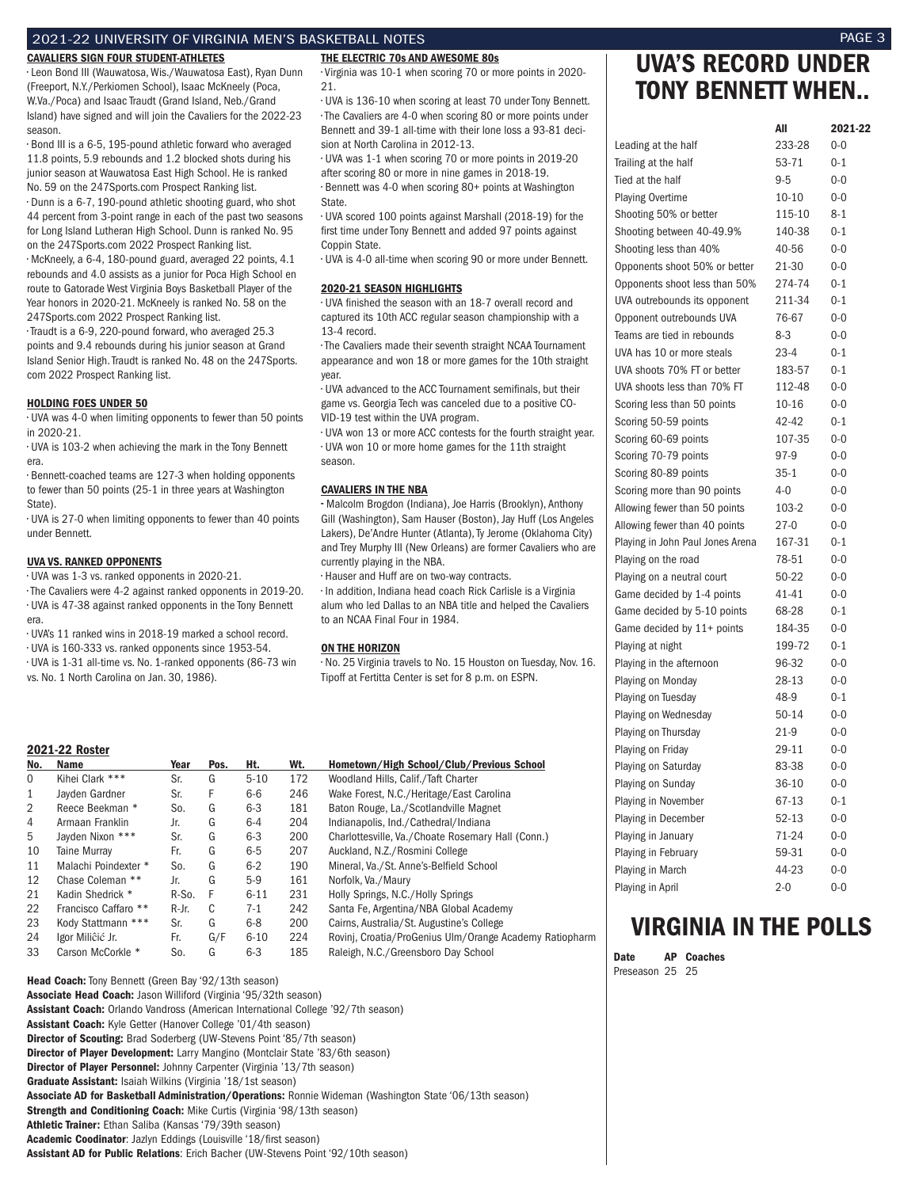### 2021-22 UNIVERSITY OF VIRGINIA MEN'S BASKETBALL NOTES PAGE 3

### CAVALIERS SIGN FOUR STUDENT-ATHLETES

• Leon Bond III (Wauwatosa, Wis./Wauwatosa East), Ryan Dunn (Freeport, N.Y./Perkiomen School), Isaac McKneely (Poca, W.Va./Poca) and Isaac Traudt (Grand Island, Neb./Grand Island) have signed and will join the Cavaliers for the 2022-23 season.

• Bond III is a 6-5, 195-pound athletic forward who averaged 11.8 points, 5.9 rebounds and 1.2 blocked shots during his junior season at Wauwatosa East High School. He is ranked No. 59 on the 247Sports.com Prospect Ranking list. • Dunn is a 6-7, 190-pound athletic shooting guard, who shot 44 percent from 3-point range in each of the past two seasons for Long Island Lutheran High School. Dunn is ranked No. 95 on the 247Sports.com 2022 Prospect Ranking list. • McKneely, a 6-4, 180-pound guard, averaged 22 points, 4.1 rebounds and 4.0 assists as a junior for Poca High School en route to Gatorade West Virginia Boys Basketball Player of the Year honors in 2020-21. McKneely is ranked No. 58 on the 247Sports.com 2022 Prospect Ranking list.

• Traudt is a 6-9, 220-pound forward, who averaged 25.3 points and 9.4 rebounds during his junior season at Grand Island Senior High. Traudt is ranked No. 48 on the 247Sports. com 2022 Prospect Ranking list.

### HOLDING FOES UNDER 50

• UVA was 4-0 when limiting opponents to fewer than 50 points in 2020-21.

• UVA is 103-2 when achieving the mark in the Tony Bennett era.

• Bennett-coached teams are 127-3 when holding opponents to fewer than 50 points (25-1 in three years at Washington State).

• UVA is 27-0 when limiting opponents to fewer than 40 points under Bennett.

### UVA VS. RANKED OPPONENTS

• UVA was 1-3 vs. ranked opponents in 2020-21.

• The Cavaliers were 4-2 against ranked opponents in 2019-20. • UVA is 47-38 against ranked opponents in the Tony Bennett era.

• UVA's 11 ranked wins in 2018-19 marked a school record.

• UVA is 160-333 vs. ranked opponents since 1953-54.

• UVA is 1-31 all-time vs. No. 1-ranked opponents (86-73 win vs. No. 1 North Carolina on Jan. 30, 1986).

### 2021-22 Roster

|          | ZUZ 1-22 ROSTEr      |       |      |          |     |                                         |
|----------|----------------------|-------|------|----------|-----|-----------------------------------------|
| No.      | Name                 | Year  | Pos. | Ht.      | Wt. | Hometown/High School/Club/Prev          |
| $\Omega$ | Kihei Clark ***      | Sr.   | G    | $5 - 10$ | 172 | Woodland Hills, Calif./Taft Charter     |
| 1        | Javden Gardner       | Sr.   | F    | $6-6$    | 246 | Wake Forest, N.C./Heritage/East Car     |
| 2        | Reece Beekman *      | So.   | G    | $6-3$    | 181 | Baton Rouge, La./Scotlandville Magr     |
| 4        | Armaan Franklin      | Jr.   | G    | $6 - 4$  | 204 | Indianapolis, Ind./Cathedral/Indiana    |
| 5        | Javden Nixon ***     | Sr.   | G    | $6 - 3$  | 200 | Charlottesville, Va./Choate Rosemary    |
| 10       | Taine Murrav         | Fr.   | G    | $6 - 5$  | 207 | Auckland, N.Z./Rosmini College          |
| 11       | Malachi Poindexter * | So.   | G    | $6 - 2$  | 190 | Mineral, Va./St. Anne's-Belfield Scho   |
| 12       | Chase Coleman **     | Jr.   | G    | $5-9$    | 161 | Norfolk, Va./Maury                      |
| 21       | Kadin Shedrick *     | R-So. | F    | $6 - 11$ | 231 | Holly Springs, N.C./Holly Springs       |
| 22       | Francisco Caffaro ** | R-Jr. | C    | $7-1$    | 242 | Santa Fe, Argentina/NBA Global Aca      |
| 23       | Kody Stattmann ***   | Sr.   | G    | $6 - 8$  | 200 | Cairns, Australia/St. Augustine's Colle |
| 24       | lgor Miliĉić Jr.     | Fr.   | G/F  | $6 - 10$ | 224 | Rovinj, Croatia/ProGenius Ulm/Orang     |
| 33       | Carson McCorkle *    | So.   | G    | $6 - 3$  | 185 | Raleigh, N.C./Greensboro Day Schoo      |

Head Coach: Tony Bennett (Green Bay '92/13th season) Associate Head Coach: Jason Williford (Virginia '95/32th season) Assistant Coach: Orlando Vandross (American International College '92/7th season) Assistant Coach: Kyle Getter (Hanover College '01/4th season) Director of Scouting: Brad Soderberg (UW-Stevens Point '85/7th season) Director of Player Development: Larry Mangino (Montclair State '83/6th season) Director of Player Personnel: Johnny Carpenter (Virginia '13/7th season) Graduate Assistant: Isaiah Wilkins (Virginia '18/1st season) Associate AD for Basketball Administration/Operations: Ronnie Wideman (Washington State '06/13th season) Strength and Conditioning Coach: Mike Curtis (Virginia '98/13th season) Athletic Trainer: Ethan Saliba (Kansas '79/39th season) Academic Coodinator: Jazlyn Eddings (Louisville '18/first season) Assistant AD for Public Relations: Erich Bacher (UW-Stevens Point '92/10th season)

### THE ELECTRIC 70s AND AWESOME 80s

• Virginia was 10-1 when scoring 70 or more points in 2020- 21.

• UVA is 136-10 when scoring at least 70 under Tony Bennett. • The Cavaliers are 4-0 when scoring 80 or more points under Bennett and 39-1 all-time with their lone loss a 93-81 decision at North Carolina in 2012-13.

• UVA was 1-1 when scoring 70 or more points in 2019-20 after scoring 80 or more in nine games in 2018-19. • Bennett was 4-0 when scoring 80+ points at Washington State.

• UVA scored 100 points against Marshall (2018-19) for the first time under Tony Bennett and added 97 points against Coppin State.

• UVA is 4-0 all-time when scoring 90 or more under Bennett.

### 2020-21 SEASON HIGHLIGHTS

• UVA finished the season with an 18-7 overall record and captured its 10th ACC regular season championship with a 13-4 record.

• The Cavaliers made their seventh straight NCAA Tournament appearance and won 18 or more games for the 10th straight year.

• UVA advanced to the ACC Tournament semifinals, but their game vs. Georgia Tech was canceled due to a positive CO-VID-19 test within the UVA program.

• UVA won 13 or more ACC contests for the fourth straight year. • UVA won 10 or more home games for the 11th straight season.

### CAVALIERS IN THE NBA

•• Malcolm Brogdon (Indiana), Joe Harris (Brooklyn), Anthony Gill (Washington), Sam Hauser (Boston), Jay Huff (Los Angeles Lakers), De'Andre Hunter (Atlanta), Ty Jerome (Oklahoma City) and Trey Murphy III (New Orleans) are former Cavaliers who are currently playing in the NBA.

• Hauser and Huff are on two-way contracts.

• In addition, Indiana head coach Rick Carlisle is a Virginia alum who led Dallas to an NBA title and helped the Cavaliers to an NCAA Final Four in 1984.

### ON THE HORIZON

• No. 25 Virginia travels to No. 15 Houston on Tuesday, Nov. 16. Tipoff at Fertitta Center is set for 8 p.m. on ESPN.

|     | ZUZI-ZZ RUSLEF       |       |      |          |     |                                                         |
|-----|----------------------|-------|------|----------|-----|---------------------------------------------------------|
| No. | Name                 | Year  | Pos. | Ht.      | Wt. | Hometown/High School/Club/Previous School               |
| 0   | Kihei Clark ***      | Sr.   | G    | $5 - 10$ | 172 | Woodland Hills, Calif./Taft Charter                     |
| 1   | Javden Gardner       | Sr.   | F    | $6-6$    | 246 | Wake Forest, N.C./Heritage/East Carolina                |
| 2   | Reece Beekman *      | So.   | G    | $6 - 3$  | 181 | Baton Rouge, La./Scotlandville Magnet                   |
| 4   | Armaan Franklin      | Jr.   | G    | 6-4      | 204 | Indianapolis, Ind./Cathedral/Indiana                    |
| 5   | Jayden Nixon ***     | Sr.   | G    | $6 - 3$  | 200 | Charlottesville, Va./Choate Rosemary Hall (Conn.)       |
| 10  | Taine Murray         | Fr.   | G    | $6-5$    | 207 | Auckland, N.Z./Rosmini College                          |
| 11  | Malachi Poindexter * | So.   | G    | $6-2$    | 190 | Mineral, Va./St. Anne's-Belfield School                 |
| 12  | Chase Coleman **     | Jr.   | G    | $5-9$    | 161 | Norfolk, Va./Maury                                      |
| 21  | Kadin Shedrick *     | R-So. | F    | $6 - 11$ | 231 | Holly Springs, N.C./Holly Springs                       |
| 22  | Francisco Caffaro ** | R-Jr. | C    | $7-1$    | 242 | Santa Fe, Argentina/NBA Global Academy                  |
| 23. | Kody Stattmann ***   | Sr.   | G    | $6 - 8$  | 200 | Cairns, Australia/St. Augustine's College               |
| 24  | lgor Miliĉić Jr.     | Fr.   | G/F  | $6 - 10$ | 224 | Rovinj, Croatia/ProGenius Ulm/Orange Academy Ratiopharm |
| 33  | Carson McCorkle *    | So.   | G    | $6 - 3$  | 185 | Raleigh, N.C./Greensboro Day School                     |
|     |                      |       |      |          |     |                                                         |

## UVA'S RECORD UNDER TONY BENNETT WHEN..

|                                  | All       | 2021-22 |
|----------------------------------|-----------|---------|
| Leading at the half              | 233-28    | $0 - 0$ |
| Trailing at the half             | 53-71     | $0 - 1$ |
| Tied at the half                 | $9 - 5$   | $0 - 0$ |
| <b>Playing Overtime</b>          | $10 - 10$ | $0 - 0$ |
| Shooting 50% or better           | 115-10    | $8 - 1$ |
| Shooting between 40-49.9%        | 140-38    | $0 - 1$ |
| Shooting less than 40%           | 40-56     | $0 - 0$ |
| Opponents shoot 50% or better    | 21-30     | $0 - 0$ |
| Opponents shoot less than 50%    | 274-74    | $0 - 1$ |
| UVA outrebounds its opponent     | 211-34    | $0 - 1$ |
| Opponent outrebounds UVA         | 76-67     | $0 - 0$ |
| Teams are tied in rebounds       | $8-3$     | $0 - 0$ |
| UVA has 10 or more steals        | $23 - 4$  | $0 - 1$ |
| UVA shoots 70% FT or better      | 183-57    | $0 - 1$ |
| UVA shoots less than 70% FT      | 112-48    | $0 - 0$ |
| Scoring less than 50 points      | 10-16     | $0-0$   |
| Scoring 50-59 points             | 42-42     | $0 - 1$ |
| Scoring 60-69 points             | 107-35    | $0 - 0$ |
| Scoring 70-79 points             | 97-9      | $0 - 0$ |
| Scoring 80-89 points             | $35-1$    | $0 - 0$ |
| Scoring more than 90 points      | 4-0       | 0-0     |
| Allowing fewer than 50 points    | 103-2     | $0 - 0$ |
| Allowing fewer than 40 points    | $27-0$    | $0 - 0$ |
| Playing in John Paul Jones Arena | 167-31    | $0 - 1$ |
| Playing on the road              | 78-51     | $0 - 0$ |
| Playing on a neutral court       | 50-22     | $0 - 0$ |
| Game decided by 1-4 points       | $41 - 41$ | $0 - 0$ |
| Game decided by 5-10 points      | 68-28     | $0 - 1$ |
| Game decided by 11+ points       | 184-35    | $0 - 0$ |
| Playing at night                 | 199-72    | $0 - 1$ |
| Playing in the afternoon         | 96-32     | $0 - 0$ |
| Playing on Monday                | 28-13     | $0 - 0$ |
| Playing on Tuesday               | 48-9      | $0 - 1$ |
| Playing on Wednesday             | $50 - 14$ | $0 - 0$ |
| Playing on Thursday              | $21-9$    | $0 - 0$ |
| Playing on Friday                | 29-11     | $0 - 0$ |
| Playing on Saturday              | 83-38     | $0 - 0$ |
| Playing on Sunday                | 36-10     | $0 - 0$ |
| Playing in November              | 67-13     | $0 - 1$ |
| Playing in December              | 52-13     | $0 - 0$ |
| Playing in January               | 71-24     | $0 - 0$ |
| Playing in February              | 59-31     | $0 - 0$ |
| Playing in March                 | 44-23     | $0 - 0$ |
| Playing in April                 | $2 - 0$   | $0 - 0$ |

## VIRGINIA IN THE POLLS

Date AP Coaches Preseason 25 25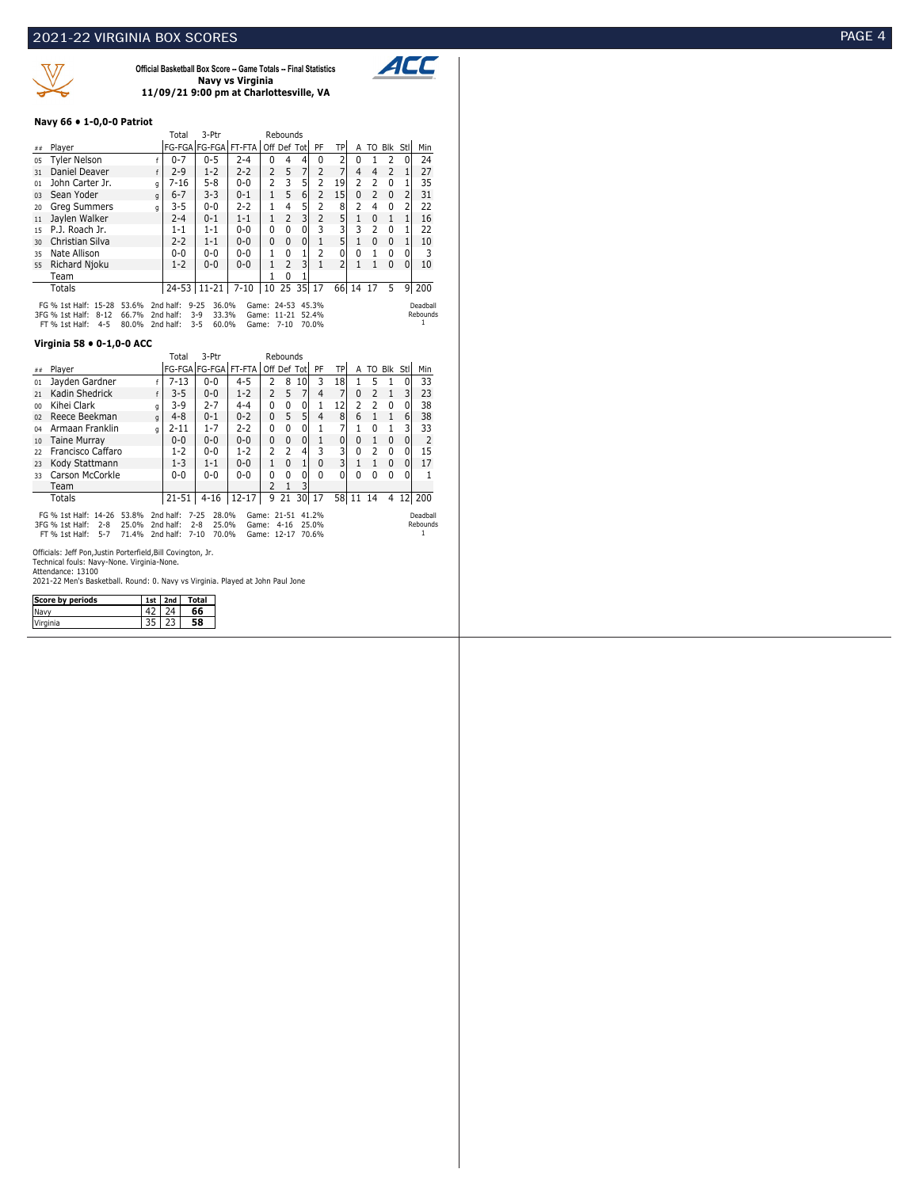

**Official Basketball Box Score -- Game Totals -- Final Statistics Navy vs Virginia 11/09/21 9:00 pm at Charlottesville, VA**



### **Navy 66 • 1-0,0-0 Patriot**

|                                                                                                                                                                                                                                                                                                    |                     |  |   | Total    | 3-Ptr                |          |                | Rebounds       |              |                |                |                |                |                |          |     |
|----------------------------------------------------------------------------------------------------------------------------------------------------------------------------------------------------------------------------------------------------------------------------------------------------|---------------------|--|---|----------|----------------------|----------|----------------|----------------|--------------|----------------|----------------|----------------|----------------|----------------|----------|-----|
| ##                                                                                                                                                                                                                                                                                                 | Plaver              |  |   |          | FG-FGA FG-FGA FT-FTA |          | Off Def Tot    |                |              | PF             | <b>TP</b>      |                |                | A TO Blk Stl   |          | Min |
| 05                                                                                                                                                                                                                                                                                                 | <b>Tyler Nelson</b> |  |   | $0 - 7$  | $0 - 5$              | $2 - 4$  | $\Omega$       | 4              | 4            | <sup>0</sup>   | $\overline{2}$ | 0              |                | 2              | $\Omega$ | 24  |
| 31                                                                                                                                                                                                                                                                                                 | Daniel Deaver       |  |   | $2 - 9$  | $1 - 2$              | $2 - 2$  | $\overline{2}$ | 5              | 7            | $\overline{2}$ | 7              | $\overline{4}$ | $\overline{4}$ | $\overline{2}$ | 1        | 27  |
| 01                                                                                                                                                                                                                                                                                                 | John Carter Jr.     |  | a | $7 - 16$ | $5 - 8$              | $0-0$    | $\mathcal{P}$  | 3              | 5            | 2              | 19             | $\overline{2}$ | 2              | $\Omega$       |          | 35  |
| 0 <sup>3</sup>                                                                                                                                                                                                                                                                                     | Sean Yoder          |  | q | $6 - 7$  | $3 - 3$              | $0 - 1$  | $\mathbf{1}$   | 5              | 6            | 2              | 15             | $\Omega$       | 2              | $\Omega$       | 2        | 31  |
| 20                                                                                                                                                                                                                                                                                                 | <b>Grea Summers</b> |  | q | $3 - 5$  | $0-0$                | $2 - 2$  | 1              | 4              | 5            | 2              | 8              | $\overline{2}$ | 4              | 0              | 2        | 22  |
| 11                                                                                                                                                                                                                                                                                                 | Jaylen Walker       |  |   | $2 - 4$  | $0 - 1$              | $1 - 1$  | $\mathbf{1}$   | $\overline{2}$ | 3            |                | 5              | 1              | $\Omega$       | 1              |          | 16  |
| 15                                                                                                                                                                                                                                                                                                 | P.J. Roach Jr.      |  |   | 1-1      | $1 - 1$              | $0 - 0$  | 0              | <sup>0</sup>   | 0            | 3              | 3              | 3              | 2              | 0              |          | 22  |
| 30                                                                                                                                                                                                                                                                                                 | Christian Silva     |  |   | $2 - 2$  | $1 - 1$              | $0 - 0$  | $\Omega$       | $\Omega$       | $\mathbf{0}$ |                | 5              | 1              | $\Omega$       | $\Omega$       |          | 10  |
| 35                                                                                                                                                                                                                                                                                                 | Nate Allison        |  |   | 0-0      | $0-0$                | $0-0$    | 1              | <sup>0</sup>   |              |                | 0              | 0              |                | 0              | 0        | 3   |
| 55                                                                                                                                                                                                                                                                                                 | Richard Njoku       |  |   | $1 - 2$  | $0 - 0$              | $0 - 0$  | 1              | $\mathcal{P}$  | 3            |                | $\overline{2}$ |                |                | $\Omega$       | $\Omega$ | 10  |
|                                                                                                                                                                                                                                                                                                    | Team                |  |   |          |                      |          |                | $\Omega$       |              |                |                |                |                |                |          |     |
|                                                                                                                                                                                                                                                                                                    | Totals              |  |   |          | 24-53 11-21          | $7 - 10$ | 10             | 25 35 17       |              |                |                | 66 14 17       |                | 5              | 9        | 200 |
| FG % 1st Half: 15-28<br>$9 - 25$<br>36.0%<br>Game: 24-53 45.3%<br>53.6%<br>2nd half:<br>Deadball<br>33.3%<br>66.7%<br>$3-9$<br>3FG % 1st Half: 8-12<br>2nd half:<br>Game: 11-21<br>52.4%<br>Rebounds<br>$3 - 5$<br>$4 - 5$<br>70.0%<br>80.0%<br>60.0%<br>Game: 7-10<br>FT % 1st Half:<br>2nd half: |                     |  |   |          |                      |          |                |                |              |                |                |                |                |                |          |     |

### **Virginia 58 • 0-1,0-0 ACC**

| $\frac{1}{2}$ and $\frac{1}{2}$ and $\frac{1}{2}$ and $\frac{1}{2}$ and $\frac{1}{2}$                                                                                                                                                                                                                                                                                 |                                                                                                                                                   |           |                      |           |              |                |                |                 |                |                |              |              |              |        |                |
|-----------------------------------------------------------------------------------------------------------------------------------------------------------------------------------------------------------------------------------------------------------------------------------------------------------------------------------------------------------------------|---------------------------------------------------------------------------------------------------------------------------------------------------|-----------|----------------------|-----------|--------------|----------------|----------------|-----------------|----------------|----------------|--------------|--------------|--------------|--------|----------------|
|                                                                                                                                                                                                                                                                                                                                                                       |                                                                                                                                                   | Total     | 3-Ptr                |           |              | Rebounds       |                |                 |                |                |              |              |              |        |                |
| ##                                                                                                                                                                                                                                                                                                                                                                    | Player                                                                                                                                            |           | FG-FGA FG-FGA FT-FTA |           | Off Def Tot  |                |                | PF              | <b>TP</b>      |                |              | A TO Blk Stl |              | Min    |                |
| 01                                                                                                                                                                                                                                                                                                                                                                    | Jayden Gardner                                                                                                                                    | f         | $7 - 13$             | $0 - 0$   | 4-5          | 2              | 8              | 10 <sup>1</sup> | 3              | 18             | 1            | 5            | 1            | 0      | 33             |
| 21                                                                                                                                                                                                                                                                                                                                                                    | Kadin Shedrick                                                                                                                                    | f         | $3 - 5$              | $0-0$     | $1 - 2$      | 2              | 5              | 7               | $\overline{4}$ | $\overline{7}$ | $\mathbf{0}$ | 2            | 1            | 3      | 23             |
| 00 <sub>0</sub>                                                                                                                                                                                                                                                                                                                                                       | Kihei Clark                                                                                                                                       | q         | $3-9$                | $2 - 7$   | $4 - 4$      | 0              | 0              | 0               | 1              | 12             | 2            | 2            | 0            | 0      | 38             |
| 02                                                                                                                                                                                                                                                                                                                                                                    | Reece Beekman                                                                                                                                     | q         | $4 - 8$              | $0 - 1$   | $0 - 2$      | 0              | 5              | 5               | $\overline{4}$ | 8              | 6            | $\mathbf{1}$ | $\mathbf{1}$ | 6      | 38             |
| 04                                                                                                                                                                                                                                                                                                                                                                    | Armaan Franklin                                                                                                                                   | q         | $2 - 11$             | $1 - 7$   | 2-2          | 0              | 0              | 0               |                | 7              | 1            | 0            | $\mathbf{1}$ | 3      | 33             |
| 10                                                                                                                                                                                                                                                                                                                                                                    | <b>Taine Murray</b>                                                                                                                               |           | $0 - 0$              | $0 - 0$   | $0 - 0$      | 0              | $\Omega$       | 0               | 1              | 0              | 0            | 1            | 0            | 0      | $\overline{2}$ |
| 22                                                                                                                                                                                                                                                                                                                                                                    | Francisco Caffaro                                                                                                                                 | $1 - 2$   | $0-0$                | $1 - 2$   | 2            | $\overline{2}$ | $\overline{4}$ | 3               | 3              | 0              | 2            | 0            | 0            | 15     |                |
| 23                                                                                                                                                                                                                                                                                                                                                                    | Kody Stattmann                                                                                                                                    | $1 - 3$   | $1 - 1$              | $0 - 0$   | $\mathbf{1}$ | $\Omega$       | 1              | $\mathbf{0}$    | 3              | $\mathbf{1}$   | $\mathbf{1}$ | 0            | 0            | 17     |                |
| 33                                                                                                                                                                                                                                                                                                                                                                    | Carson McCorkle                                                                                                                                   | 0-0       | $0 - 0$              | $0 - 0$   | 0            | $\Omega$       | O              | <sup>n</sup>    | 0              | <sup>0</sup>   | 0            | 0            | 0            | 1      |                |
|                                                                                                                                                                                                                                                                                                                                                                       | Team                                                                                                                                              |           |                      |           |              | 2              |                |                 |                |                |              |              |              |        |                |
|                                                                                                                                                                                                                                                                                                                                                                       | <b>Totals</b>                                                                                                                                     | $21 - 51$ | $4 - 16$             | $12 - 17$ | 9            | 21             | 30 17          |                 | 58 11          |                | 14           | 4            |              | 12 200 |                |
| 28.0%<br>Game: 21-51 41.2%<br>FG % 1st Half: 14-26 53.8%<br>2nd half:<br>$7 - 25$<br>Deadball<br>Rebounds<br>25.0%<br>$2 - 8$<br>25.0%<br>3FG % 1st Half:<br>$2 - 8$<br>2nd half:<br>Game: 4-16<br>25.0%<br>$7 - 10$<br>Game: 12-17 70.6%<br>71.4%<br>2nd half:<br>70.0%<br>FT % 1st Half:<br>$5 - 7$<br>Officials: Jeff Pon, Justin Porterfield, Bill Covington, Jr. |                                                                                                                                                   |           |                      |           |              |                |                |                 |                |                |              |              |              |        |                |
|                                                                                                                                                                                                                                                                                                                                                                       | Technical fouls: Navy-None. Virginia-None.<br>Attendance: 13100<br>2021-22 Men's Basketball. Round: 0. Navy vs Virginia. Played at John Paul Jone |           |                      |           |              |                |                |                 |                |                |              |              |              |        |                |

| Score by periods | 1st | otal. |
|------------------|-----|-------|
|                  |     |       |
| Virginia         |     |       |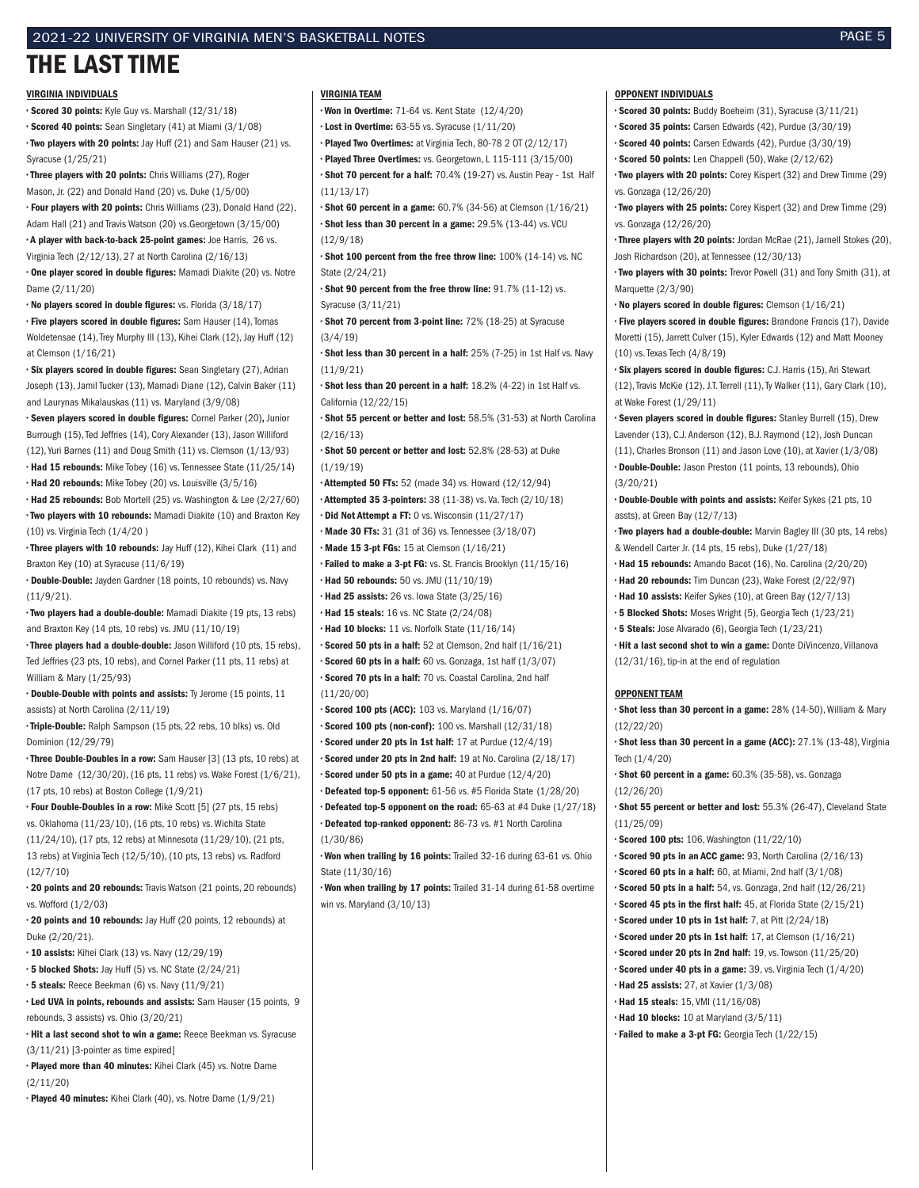### 2021-22 UNIVERSITY OF VIRGINIA MEN'S BASKETBALL NOTES PAGE 5

## THE LAST TIME

### VIRGINIA INDIVIDUALS

• Scored 30 points: Kyle Guy vs. Marshall (12/31/18) • Scored 40 points: Sean Singletary (41) at Miami (3/1/08) • Two players with 20 points: Jay Huff (21) and Sam Hauser (21) vs. Syracuse (1/25/21)

• Three players with 20 points: Chris Williams (27), Roger Mason, Jr. (22) and Donald Hand (20) vs. Duke (1/5/00) • Four players with 20 points: Chris Williams (23), Donald Hand (22),

Adam Hall (21) and Travis Watson (20) vs.Georgetown (3/15/00) • A player with back-to-back 25-point games: Joe Harris, 26 vs.

Virginia Tech (2/12/13), 27 at North Carolina (2/16/13) • One player scored in double figures: Mamadi Diakite (20) vs. Notre Dame (2/11/20)

• No players scored in double figures: vs. Florida (3/18/17) • Five players scored in double figures: Sam Hauser (14), Tomas Woldetensae (14), Trey Murphy III (13), Kihei Clark (12), Jay Huff (12) at Clemson (1/16/21)

• Six players scored in double figures: Sean Singletary (27), Adrian Joseph (13), Jamil Tucker (13), Mamadi Diane (12), Calvin Baker (11) and Laurynas Mikalauskas (11) vs. Maryland (3/9/08)

• Seven players scored in double figures: Cornel Parker (20), Junior Burrough (15), Ted Jeffries (14), Cory Alexander (13), Jason Williford (12), Yuri Barnes (11) and Doug Smith (11) vs. Clemson (1/13/93) • Had 15 rebounds: Mike Tobey (16) vs. Tennessee State (11/25/14) • Had 20 rebounds: Mike Tobey (20) vs. Louisville (3/5/16)

• Had 25 rebounds: Bob Mortell (25) vs. Washington & Lee (2/27/60) • Two players with 10 rebounds: Mamadi Diakite (10) and Braxton Key (10) vs. Virginia Tech (1/4/20 )

• Three players with 10 rebounds: Jay Huff (12), Kihei Clark (11) and Braxton Key (10) at Syracuse (11/6/19)

• Double-Double: Jayden Gardner (18 points, 10 rebounds) vs. Navy (11/9/21).

• Two players had a double-double: Mamadi Diakite (19 pts, 13 rebs) and Braxton Key (14 pts, 10 rebs) vs. JMU (11/10/19)

• Three players had a double-double: Jason Williford (10 pts, 15 rebs), Ted Jeffries (23 pts, 10 rebs), and Cornel Parker (11 pts, 11 rebs) at William & Mary (1/25/93)

• Double-Double with points and assists: Ty Jerome (15 points, 11 assists) at North Carolina (2/11/19)

• Triple-Double: Ralph Sampson (15 pts, 22 rebs, 10 blks) vs. Old Dominion (12/29/79)

• Three Double-Doubles in a row: Sam Hauser [3] (13 pts, 10 rebs) at Notre Dame (12/30/20), (16 pts, 11 rebs) vs. Wake Forest (1/6/21), (17 pts, 10 rebs) at Boston College (1/9/21)

• Four Double-Doubles in a row: Mike Scott [5] (27 pts, 15 rebs) vs. Oklahoma (11/23/10), (16 pts, 10 rebs) vs. Wichita State (11/24/10), (17 pts, 12 rebs) at Minnesota (11/29/10), (21 pts, 13 rebs) at Virginia Tech (12/5/10), (10 pts, 13 rebs) vs. Radford (12/7/10)

• 20 points and 20 rebounds: Travis Watson (21 points, 20 rebounds) vs. Wofford (1/2/03)

• 20 points and 10 rebounds: Jay Huff (20 points, 12 rebounds) at Duke (2/20/21).

• 10 assists: Kihei Clark (13) vs. Navy (12/29/19)

• 5 blocked Shots: Jay Huff (5) vs. NC State (2/24/21)

• 5 steals: Reece Beekman (6) vs. Navy (11/9/21)

• Led UVA in points, rebounds and assists: Sam Hauser (15 points, 9 rebounds, 3 assists) vs. Ohio (3/20/21)

• Hit a last second shot to win a game: Reece Beekman vs. Syracuse (3/11/21) [3-pointer as time expired]

• Played more than 40 minutes: Kihei Clark (45) vs. Notre Dame (2/11/20)

• Played 40 minutes: Kihei Clark (40), vs. Notre Dame (1/9/21)

### VIRGINIA TEAM

• Won in Overtime: 71-64 vs. Kent State (12/4/20)

• Lost in Overtime: 63-55 vs. Syracuse (1/11/20)

• Played Two Overtimes: at Virginia Tech, 80-78 2 OT (2/12/17) • Played Three Overtimes: vs. Georgetown, L 115-111 (3/15/00)

• Shot 70 percent for a half: 70.4% (19-27) vs. Austin Peay - 1st Half (11/13/17)

• Shot 60 percent in a game: 60.7% (34-56) at Clemson (1/16/21) • Shot less than 30 percent in a game: 29.5% (13-44) vs. VCU (12/9/18)

• Shot 100 percent from the free throw line: 100% (14-14) vs. NC State (2/24/21)

• Shot 90 percent from the free throw line: 91.7% (11-12) vs. Syracuse (3/11/21)

• Shot 70 percent from 3-point line: 72% (18-25) at Syracuse (3/4/19)

• Shot less than 30 percent in a half: 25% (7-25) in 1st Half vs. Navy (11/9/21)

• Shot less than 20 percent in a half: 18.2% (4-22) in 1st Half vs. California (12/22/15)

• Shot 55 percent or better and lost: 58.5% (31-53) at North Carolina (2/16/13)

• Shot 50 percent or better and lost: 52.8% (28-53) at Duke (1/19/19)

• Attempted 50 FTs: 52 (made 34) vs. Howard (12/12/94) • Attempted 35 3-pointers: 38 (11-38) vs. Va. Tech (2/10/18)

• Did Not Attempt a FT: 0 vs. Wisconsin (11/27/17)

• Made 30 FTs: 31 (31 of 36) vs. Tennessee (3/18/07)

• Made 15 3-pt FGs: 15 at Clemson (1/16/21)

• Failed to make a 3-pt FG: vs. St. Francis Brooklyn (11/15/16) • Had 50 rebounds: 50 vs. JMU (11/10/19)

• Had 25 assists: 26 vs. Iowa State (3/25/16)

• Had 15 steals: 16 vs. NC State (2/24/08)

• Had 10 blocks: 11 vs. Norfolk State (11/16/14)

• Scored 50 pts in a half: 52 at Clemson, 2nd half (1/16/21)

• Scored 60 pts in a half: 60 vs. Gonzaga, 1st half (1/3/07) • Scored 70 pts in a half: 70 vs. Coastal Carolina, 2nd half

(11/20/00)

• Scored 100 pts (ACC): 103 vs. Maryland (1/16/07)

• Scored 100 pts (non-conf): 100 vs. Marshall (12/31/18)

• Scored under 20 pts in 1st half: 17 at Purdue (12/4/19)

• Scored under 20 pts in 2nd half: 19 at No. Carolina (2/18/17)

- Scored under 50 pts in a game: 40 at Purdue (12/4/20)
- Defeated top-5 opponent: 61-56 vs. #5 Florida State (1/28/20)

• Defeated top-5 opponent on the road: 65-63 at #4 Duke (1/27/18) • Defeated top-ranked opponent: 86-73 vs. #1 North Carolina (1/30/86)

• Won when trailing by 16 points: Trailed 32-16 during 63-61 vs. Ohio State (11/30/16)

• Won when trailing by 17 points: Trailed 31-14 during 61-58 overtime win vs. Maryland (3/10/13)

#### OPPONENT INDIVIDUALS

• Scored 30 points: Buddy Boeheim (31), Syracuse (3/11/21)

• Scored 35 points: Carsen Edwards (42), Purdue (3/30/19)

• Scored 40 points: Carsen Edwards (42), Purdue (3/30/19)

• Scored 50 points: Len Chappell (50), Wake (2/12/62)

• Two players with 20 points: Corey Kispert (32) and Drew Timme (29) vs. Gonzaga (12/26/20)

• Two players with 25 points: Corey Kispert (32) and Drew Timme (29) vs. Gonzaga (12/26/20)

• Three players with 20 points: Jordan McRae (21), Jarnell Stokes (20), Josh Richardson (20), at Tennessee (12/30/13)

• Two players with 30 points: Trevor Powell (31) and Tony Smith (31), at Marquette (2/3/90)

• No players scored in double figures: Clemson (1/16/21)

• Five players scored in double figures: Brandone Francis (17), Davide Moretti (15), Jarrett Culver (15), Kyler Edwards (12) and Matt Mooney (10) vs. Texas Tech (4/8/19)

• Six players scored in double figures: C.J. Harris (15), Ari Stewart (12), Travis McKie (12), J.T. Terrell (11), Ty Walker (11), Gary Clark (10), at Wake Forest (1/29/11)

• Seven players scored in double figures: Stanley Burrell (15), Drew Lavender (13), C.J. Anderson (12), B.J. Raymond (12), Josh Duncan (11), Charles Bronson (11) and Jason Love (10), at Xavier (1/3/08) • Double-Double: Jason Preston (11 points, 13 rebounds), Ohio (3/20/21)

• Double-Double with points and assists: Keifer Sykes (21 pts, 10 assts), at Green Bay (12/7/13)

• Two players had a double-double: Marvin Bagley III (30 pts, 14 rebs) & Wendell Carter Jr. (14 pts, 15 rebs), Duke (1/27/18)

• Had 15 rebounds: Amando Bacot (16), No. Carolina (2/20/20) • Had 20 rebounds: Tim Duncan (23), Wake Forest (2/22/97)

• Had 10 assists: Keifer Sykes (10), at Green Bay (12/7/13)

• 5 Blocked Shots: Moses Wright (5), Georgia Tech (1/23/21)

• 5 Steals: Jose Alvarado (6), Georgia Tech (1/23/21)

• Hit a last second shot to win a game: Donte DiVincenzo, Villanova (12/31/16), tip-in at the end of regulation

#### OPPONENT TEAM

• Shot less than 30 percent in a game: 28% (14-50), William & Mary (12/22/20)

• Shot less than 30 percent in a game (ACC): 27.1% (13-48), Virginia Tech (1/4/20)

• Shot 60 percent in a game: 60.3% (35-58), vs. Gonzaga (12/26/20)

• Shot 55 percent or better and lost: 55.3% (26-47), Cleveland State (11/25/09)

• Scored 100 pts: 106, Washington (11/22/10)

• Scored 90 pts in an ACC game: 93, North Carolina (2/16/13)

• Scored 60 pts in a half: 60, at Miami, 2nd half (3/1/08)

• Scored 50 pts in a half: 54, vs. Gonzaga, 2nd half (12/26/21) • Scored 45 pts in the first half: 45, at Florida State (2/15/21)

• Scored under 10 pts in 1st half: 7, at Pitt (2/24/18)

- Scored under 20 pts in 1st half: 17, at Clemson (1/16/21)
- Scored under 20 pts in 2nd half: 19, vs. Towson (11/25/20)
- Scored under 40 pts in a game: 39, vs. Virginia Tech (1/4/20)
- Had 25 assists: 27, at Xavier (1/3/08)
- Had 15 steals: 15, VMI (11/16/08)
- Had 10 blocks: 10 at Maryland (3/5/11)
- Failed to make a 3-pt FG: Georgia Tech (1/22/15)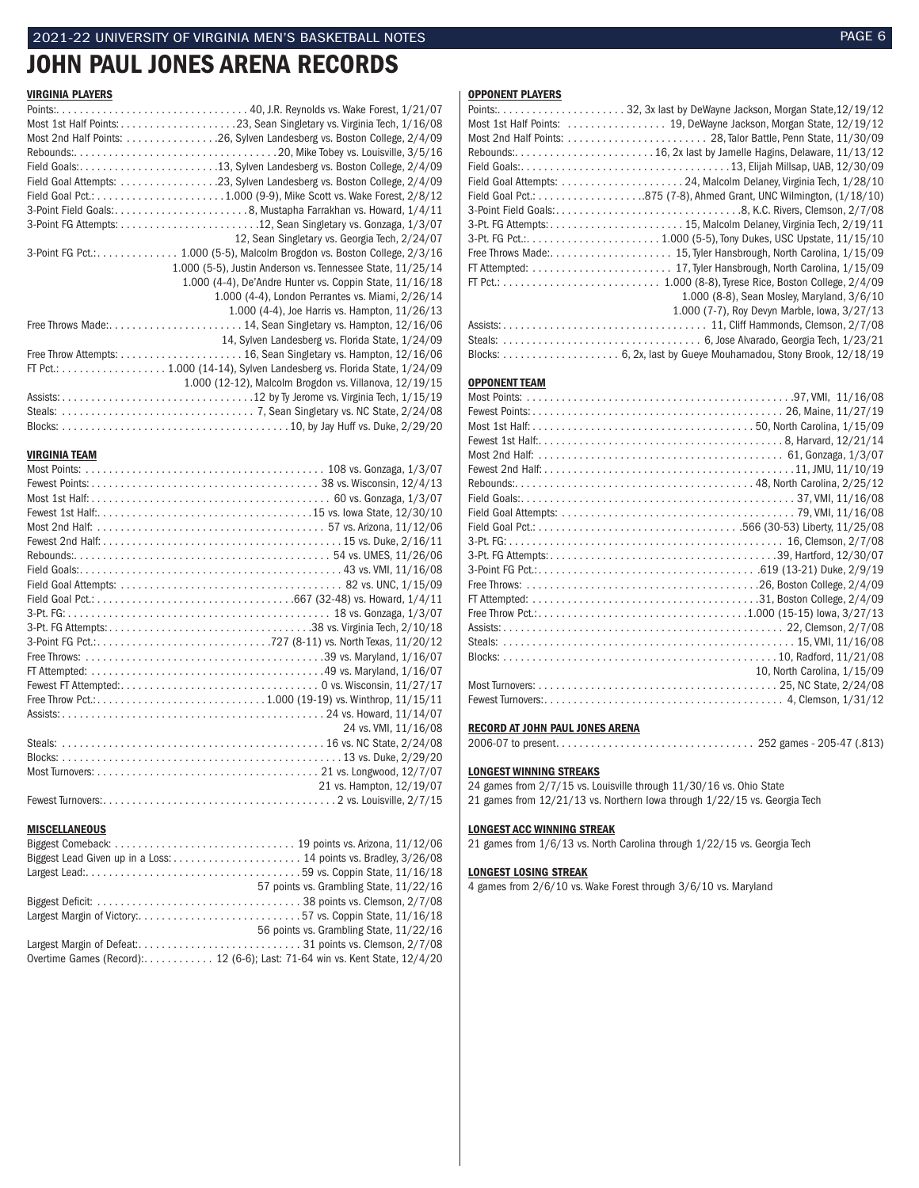## JOHN PAUL JONES ARENA RECORDS

### VIRGINIA PLAYERS

| Most 2nd Half Points: 26, Sylven Landesberg vs. Boston College, 2/4/09     |                                                            |
|----------------------------------------------------------------------------|------------------------------------------------------------|
|                                                                            |                                                            |
| Field Goals:13, Sylven Landesberg vs. Boston College, 2/4/09               |                                                            |
|                                                                            |                                                            |
|                                                                            |                                                            |
|                                                                            |                                                            |
|                                                                            |                                                            |
|                                                                            | 12, Sean Singletary vs. Georgia Tech, 2/24/07              |
| 3-Point FG Pct.: 1.000 (5-5), Malcolm Brogdon vs. Boston College, $2/3/16$ |                                                            |
|                                                                            | 1.000 (5-5), Justin Anderson vs. Tennessee State, 11/25/14 |
|                                                                            | 1.000 (4-4), De'Andre Hunter vs. Coppin State, 11/16/18    |
|                                                                            | 1.000 (4-4), London Perrantes vs. Miami, 2/26/14           |
|                                                                            | 1.000 (4-4), Joe Harris vs. Hampton, 11/26/13              |
|                                                                            |                                                            |
|                                                                            | 14, Sylven Landesberg vs. Florida State, 1/24/09           |
|                                                                            |                                                            |
| FT Pct.: 1.000 (14-14), Sylven Landesberg vs. Florida State, $1/24/09$     |                                                            |
|                                                                            | 1.000 (12-12), Malcolm Brogdon vs. Villanova, 12/19/15     |
|                                                                            |                                                            |
|                                                                            |                                                            |
|                                                                            |                                                            |

## **VIRGINIA TEAM**<br>Most Points:

| 24 vs. VMI, 11/16/08     |
|--------------------------|
|                          |
|                          |
|                          |
| 21 vs. Hampton, 12/19/07 |
|                          |

### **MISCELLANEOUS**

|                                                                            | 57 points vs. Grambling State, 11/22/16 |
|----------------------------------------------------------------------------|-----------------------------------------|
|                                                                            |                                         |
| Largest Margin of Victory:57 vs. Coppin State, 11/16/18                    |                                         |
|                                                                            | 56 points vs. Grambling State, 11/22/16 |
|                                                                            |                                         |
| Overtime Games (Record): 12 (6-6); Last: 71-64 win vs. Kent State, 12/4/20 |                                         |
|                                                                            |                                         |

### OPPONENT PLAYERS

| Most 1st Half Points:  19, DeWayne Jackson, Morgan State, 12/19/12 |
|--------------------------------------------------------------------|
|                                                                    |
|                                                                    |
|                                                                    |
| Field Goal Attempts: 24, Malcolm Delaney, Virginia Tech, 1/28/10   |
|                                                                    |
|                                                                    |
|                                                                    |
|                                                                    |
|                                                                    |
|                                                                    |
|                                                                    |
| 1.000 (8-8), Sean Mosley, Maryland, 3/6/10                         |
| 1.000 (7-7), Roy Devyn Marble, Iowa, 3/27/13                       |
|                                                                    |
|                                                                    |
|                                                                    |

### OPPONENT TEAM

| 10, North Carolina, 1/15/09 |
|-----------------------------|
|                             |
|                             |

### RECORD AT JOHN PAUL JONES ARENA

2006-07 to present. . . 252 games - 205-47 (.813)

### LONGEST WINNING STREAKS

24 games from 2/7/15 vs. Louisville through 11/30/16 vs. Ohio State 21 games from 12/21/13 vs. Northern Iowa through 1/22/15 vs. Georgia Tech

### LONGEST ACC WINNING STREAK

21 games from 1/6/13 vs. North Carolina through 1/22/15 vs. Georgia Tech

### LONGEST LOSING STREAK

4 games from 2/6/10 vs. Wake Forest through 3/6/10 vs. Maryland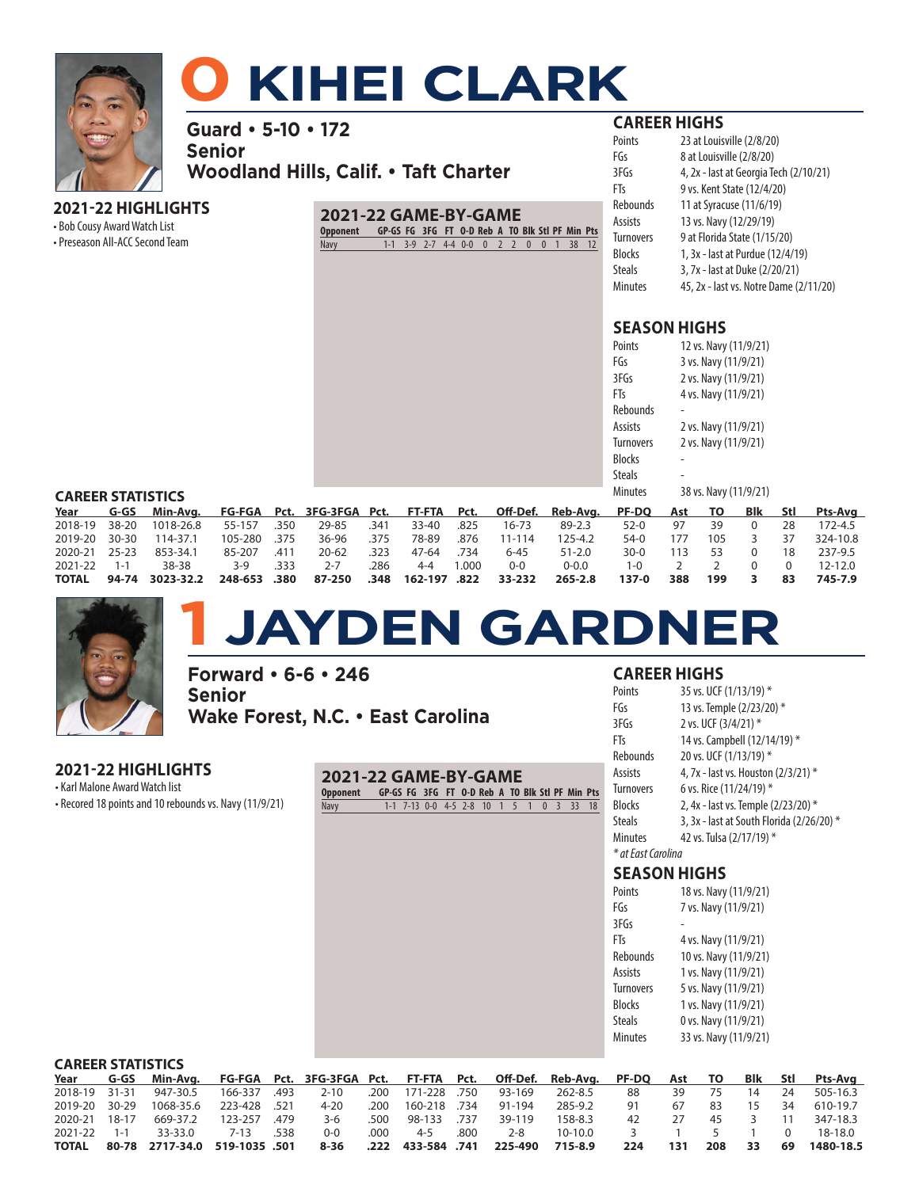

# **0 KIHEI CLARK**

**Guard • 5-10 • 172**

**Senior Woodland Hills, Calif. • Taft Charter**

## **2021-22 HIGHLIGHTS**

• Bob Cousy Award Watch List

• Preseason All-ACC Second Team

## **2021-22 GAME-BY-GAME**

**Opponent GP-GS FG 3FG FT O-D Reb A TO Blk Stl PF Min Pts** Navy 1-1 3-9 2-7 4-4 0-0 0 2 2 0 0 1 38 12

## **CAREER HIGHS**

| Points        | 23 at Louisville (2/8/20)              |
|---------------|----------------------------------------|
| FGs           | 8 at Louisville (2/8/20)               |
| 3FGs          | 4, 2x - last at Georgia Tech (2/10/21) |
| FTs           | 9 vs. Kent State (12/4/20)             |
| Rebounds      | 11 at Syracuse (11/6/19)               |
| Assists       | 13 vs. Navy (12/29/19)                 |
| Turnovers     | 9 at Florida State (1/15/20)           |
| Blocks        | 1, 3x - last at Purdue (12/4/19)       |
| <b>Steals</b> | 3, 7x - last at Duke (2/20/21)         |
| Minutes       | 45, 2x - last vs. Notre Dame (2/11/20) |

## **SEASON HIGHS**

| Points           | 12 vs. Navy (11/9/21) |
|------------------|-----------------------|
| FGs              | 3 vs. Navy (11/9/21)  |
| 3FGs             | 2 vs. Navy (11/9/21)  |
| FTs              | 4 vs. Navy (11/9/21)  |
| Rebounds         |                       |
| Assists          | 2 vs. Navy (11/9/21)  |
| <b>Turnovers</b> | 2 vs. Navy (11/9/21)  |
| Blocks           |                       |
| Steals           |                       |
| Minutes          | 38 vs. Navy (11/9/21) |
|                  |                       |

### **CAREER STATISTICS**

| CANEEN SIMISTICS   |  |                                                                                                    |              |      |                                       |      |         |       |           |             |        |     |     |          |    |          |
|--------------------|--|----------------------------------------------------------------------------------------------------|--------------|------|---------------------------------------|------|---------|-------|-----------|-------------|--------|-----|-----|----------|----|----------|
| Year               |  | G-GS Min-Avg. FG-FGA Pct. 3FG-3FGA Pct. FT-FTA Pct. Off-Def. Reb-Avg. PF-DQ Ast TO Blk Stl Pts-Avg |              |      |                                       |      |         |       |           |             |        |     |     |          |    |          |
| 2018-19 38-20      |  | 1018-26.8                                                                                          | 55-157       | .350 | 29-85                                 | .341 | 33-40   | .825  | $16 - 73$ | 89-2.3      | $52-0$ | 97  | 39  | $\Omega$ | 28 | 172-4.5  |
| 2019-20 30-30      |  | 114-37.1                                                                                           | 105-280 .375 |      | 36-96                                 | .375 | 78-89   | .876  | 11-114    | 125-4.2     | 54-0   | 177 | 105 | 3        | 37 | 324-10.8 |
| 2020-21 25-23      |  | 853-34.1                                                                                           | 85-207       | .411 | $20 - 62$                             | .323 | 47-64   | .734  | $6 - 45$  | $51 - 2.0$  | $30-0$ | 113 | 53  |          | 18 | 237-9.5  |
| $2021 - 22$ 1-1    |  | 38-38                                                                                              | $3-9$        | .333 | $2 - 7$                               | .286 | $4 - 4$ | 1.000 | $0 - 0$   | $0 - 0.0$   | 1-0    |     |     |          |    | 12-12.0  |
| <b>TOTAL 94-74</b> |  | 3023-32.2                                                                                          |              |      | 248-653 .380 87-250 .348 162-197 .822 |      |         |       | 33-232    | $265 - 2.8$ | 137-0  | 388 | 199 |          | 83 | 745-7.9  |



# **1 JAYDEN GARDNER**

**Forward • 6-6 • 246 Senior Wake Forest, N.C. • East Carolina**

## **2021-22 HIGHLIGHTS**

**CAREER STATISTICS**

• Karl Malone Award Watch list • Recored 18 points and 10 rebounds vs. Navy (11/9/21)

| 2021-22 GAME-BY-GAME                                     |  |                                         |  |  |  |  |  |
|----------------------------------------------------------|--|-----------------------------------------|--|--|--|--|--|
| Opponent GP-GS FG 3FG FT O-D Reb A TO Blk Stl PF Min Pts |  |                                         |  |  |  |  |  |
| Navy                                                     |  | 1-1 7-13 0-0 4-5 2-8 10 1 5 1 0 3 33 18 |  |  |  |  |  |

## **CAREER HIGHS**

| Points              | 35 vs. UCF (1/13/19) *                    |
|---------------------|-------------------------------------------|
| FGs                 | 13 vs. Temple (2/23/20) *                 |
| 3FGs                | 2 vs. UCF (3/4/21) *                      |
| FTs                 | 14 vs. Campbell (12/14/19) *              |
| Rebounds            | 20 vs. UCF (1/13/19) *                    |
| Assists             | 4, 7x - last vs. Houston (2/3/21) *       |
| Turnovers           | 6 vs. Rice (11/24/19) *                   |
| Blocks              | 2, 4x - last vs. Temple (2/23/20) *       |
| Steals              | 3, 3x - last at South Florida (2/26/20) * |
| Minutes             | 42 vs. Tulsa (2/17/19) *                  |
| * at East Carolina  |                                           |
| <b>SEASON HIGHS</b> |                                           |
| Points              | 18 vs. Navy (11/9/21)                     |
| FGs                 | 7 vs. Navy (11/9/21)                      |
| 3FGs                |                                           |
| FTs                 | 4 vs. Navy (11/9/21)                      |
| Rebounds            | 10 vs. Navy (11/9/21)                     |
| Assists             | 1 vs. Navy (11/9/21)                      |
| Turnovers           | 5 vs. Navy (11/9/21)                      |
| Blocks              | 1 vs. Navy (11/9/21)                      |
| Steals              | 0 vs. Navy (11/9/21)                      |
| <b>Minutes</b>      | 33 vs. Navy (11/9/21)                     |
|                     |                                           |

| CAKEEK STATISTICS. |                                                                                                         |  |         |      |  |              |                   |      |  |  |                             |
|--------------------|---------------------------------------------------------------------------------------------------------|--|---------|------|--|--------------|-------------------|------|--|--|-----------------------------|
|                    | Year G-GS Min-Avg. FG-FGA Pct. 3FG-3FGA Pct. FT-FTA Pct. Off-Def. Reb-Avg. PF-DQ Ast TO Blk Stl Pts-Avg |  |         |      |  |              |                   |      |  |  |                             |
|                    | 2018-19 31-31  947-30.5  166-337 .493   2-10  .200  171-228 .750  93-169  262-8.5                       |  |         |      |  |              |                   |      |  |  | 88 39 75 14 24 505-16.3     |
|                    | 2019-20 30-29 1068-35.6 223-428 521  4-20 .200 160-218 .734  91-194  285-9.2                            |  |         |      |  |              |                   | 91 — |  |  | 67 83 15 34 610-19.7        |
|                    | 2020-21 18-17 669-37.2 123-257 .479   3-6   .500  98-133 .737   39-119                                  |  |         |      |  |              | 158-8.3           |      |  |  | 42 27 45 3 11 347-18.3      |
|                    | 2021-22 1-1 33-33.0 7-13 .538                                                                           |  | $O - O$ | .000 |  | 4-5 .800 2-8 | 10-10.0 3 1 5 1 0 |      |  |  | 18-18.0                     |
|                    | 715-8.9 701AL 80-78 2717-34.0 519-1035 .501 8-36 .222 433-584                                           |  |         |      |  |              |                   |      |  |  | 224 131 208 33 69 1480-18.5 |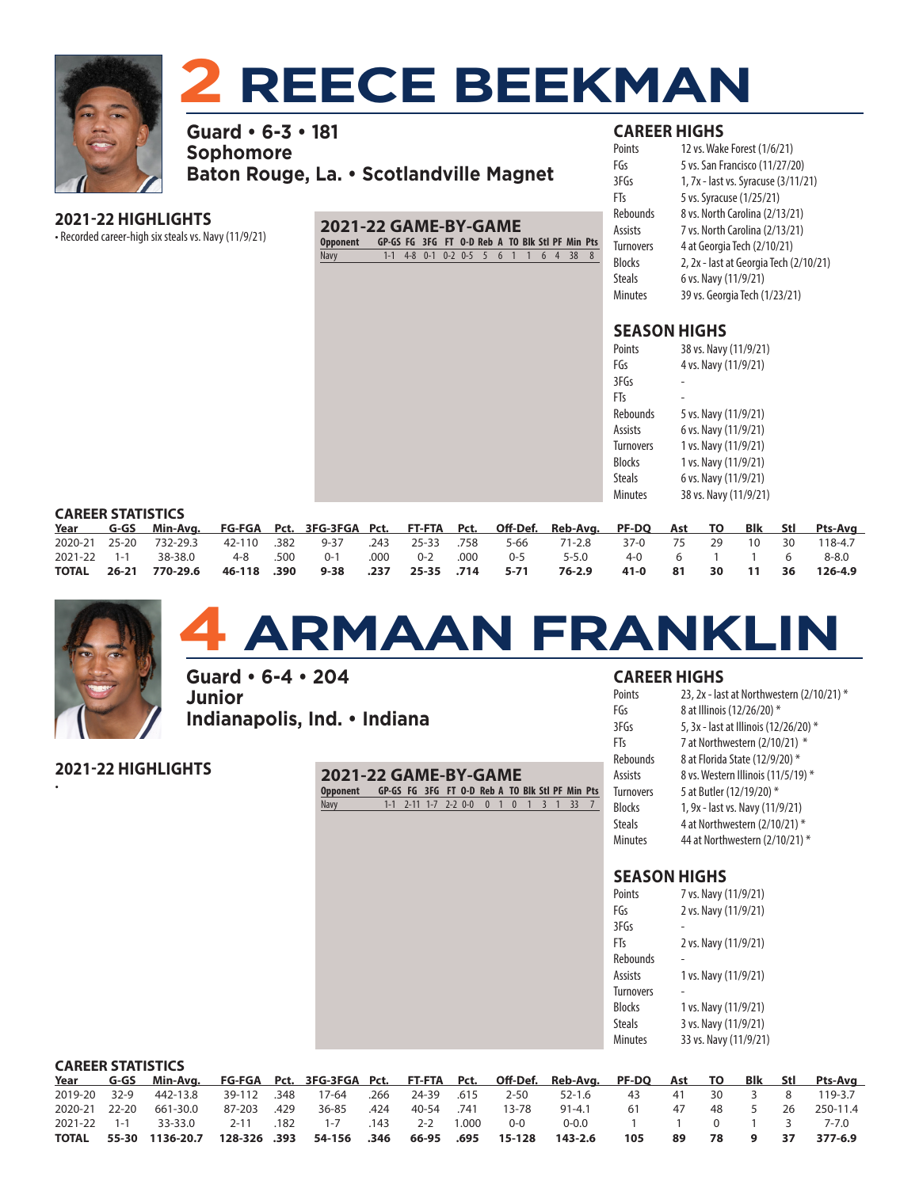

# **2 REECE BEEKMAN**

**Guard • 6-3 • 181 Sophomore Baton Rouge, La. • Scotlandville Magnet**

## **2021-22 HIGHLIGHTS**

• Recorded career-high six steals vs. Navy (11/9/21) **2021-22 GAME-BY-GAME Opponent GP-GS FG 3FG FT O-D Reb A TO Blk Stl PF Min Pts** Navy 1-1 4-8 0-1 0-2 0-5 5 6 1 1 6 4 38 8

## **CAREER HIGHS**

| Points           | 12 vs. Wake Forest (1/6/21)            |
|------------------|----------------------------------------|
| FGs              | 5 vs. San Francisco (11/27/20)         |
| 3FGs             | 1, 7x - last vs. Syracuse (3/11/21)    |
| FTs              | 5 vs. Syracuse (1/25/21)               |
| <b>Rebounds</b>  | 8 vs. North Carolina (2/13/21)         |
| Assists          | 7 vs. North Carolina (2/13/21)         |
| <b>Turnovers</b> | 4 at Georgia Tech (2/10/21)            |
| <b>Blocks</b>    | 2, 2x - last at Georgia Tech (2/10/21) |
| Steals           | 6 vs. Navy (11/9/21)                   |
| Minutes          | 39 vs. Georgia Tech (1/23/21)          |

## **SEASON HIGHS**

| Points           | 38 vs. Navy (11/9/21) |
|------------------|-----------------------|
| FGs              | 4 vs. Navy (11/9/21)  |
| 3FGs             |                       |
| FTs              |                       |
| Rebounds         | 5 vs. Navy (11/9/21)  |
| Assists          | 6 vs. Navy (11/9/21)  |
| <b>Turnovers</b> | 1 vs. Navy (11/9/21)  |
| <b>Blocks</b>    | 1 vs. Navy (11/9/21)  |
| <b>Steals</b>    | 6 vs. Navy (11/9/21)  |
| Minutes          | 38 vs. Navy (11/9/21) |
|                  |                       |

### **CAREER STATISTICS**

|  | Year G-GS Min-Avg. FG-FGA Pct. 3FG-3FGA Pct. FT-FTA Pct. Off-Def. Reb-Avg. PF-DQ Ast TO Blk Stl Pts-Avg |  |  |  |  |  |  |  |
|--|---------------------------------------------------------------------------------------------------------|--|--|--|--|--|--|--|
|  | 2020-21 25-20 732-29.3 42-110 .382 9-37 .243 25-33 .758 5-66 71-2.8 37-0 75 29 10 30 118-4.7            |  |  |  |  |  |  |  |
|  | 2021-22 1-1 38-38.0 4-8 .500 0-1 .000 0-2 .000 0-5 5-5.0 4-0 6 1 1 6 8-8.0                              |  |  |  |  |  |  |  |
|  | TOTAL 26-21 770-29.6 46-118 .390 9-38 .237 25-35 .714 5-71 76-2.9 41-0 81 30 11 36 126-4.9              |  |  |  |  |  |  |  |



•

# **4 ARMAAN FRANKLIN**

**Guard • 6-4 • 204 Junior Indianapolis, Ind. • Indiana**

**2021-22 HIGHLIGHTS**

## **2021-22 GAME-BY-GAME Opponent GP-GS FG 3FG FT O-D Reb A TO Blk Stl PF Min Pts**

Navy 1-1 2-11 1-7 2-2 0-0 0 1 0 1 3 1 33 7

## **CAREER HIGHS**

| Points           | 23, 2x - last at Northwestern (2/10/21) * |
|------------------|-------------------------------------------|
| FGs              | 8 at Illinois (12/26/20) *                |
| 3FGs             | 5, 3x - last at Illinois (12/26/20) *     |
| FTs              | 7 at Northwestern (2/10/21) *             |
| <b>Rebounds</b>  | 8 at Florida State (12/9/20) *            |
| Assists          | 8 vs. Western Illinois (11/5/19) *        |
| <b>Turnovers</b> | 5 at Butler (12/19/20) *                  |
| <b>Blocks</b>    | 1, 9x - last vs. Navy (11/9/21)           |
| <b>Steals</b>    | 4 at Northwestern (2/10/21) *             |
| Minutes          | 44 at Northwestern (2/10/21) *            |

| Points           | 7 vs. Navy (11/9/21)  |
|------------------|-----------------------|
| FGs              | 2 vs. Navy (11/9/21)  |
| 3FGs             |                       |
| FTs              | 2 vs. Navy (11/9/21)  |
| Rebounds         |                       |
| Assists          | 1 vs. Navy (11/9/21)  |
| <b>Turnovers</b> |                       |
| <b>Blocks</b>    | 1 vs. Navy (11/9/21)  |
| <b>Steals</b>    | 3 vs. Navy (11/9/21)  |
| Minutes          | 33 vs. Navy (11/9/21) |

|                 | <b>CAREER STATISTICS</b> |                                                                                                    |             |  |                          |      |            |       |          |           |     |     |      |                         |                |          |
|-----------------|--------------------------|----------------------------------------------------------------------------------------------------|-------------|--|--------------------------|------|------------|-------|----------|-----------|-----|-----|------|-------------------------|----------------|----------|
| Year            |                          | G-GS Min-Avg. FG-FGA Pct. 3FG-3FGA Pct. FT-FTA Pct. Off-Def. Reb-Avg. PF-DQ Ast TO Blk Stl Pts-Avg |             |  |                          |      |            |       |          |           |     |     |      |                         |                |          |
| 2019-20 32-9    |                          | 442-13.8 39-112 .348                                                                               |             |  | 17-64                    | .266 | 24-39 .615 |       | $2 - 50$ | 52-1.6    | 43  | -41 | 30 I | $\overline{\mathbf{3}}$ | 8 <sup>7</sup> | 119-3.7  |
| 2020-21 22-20   |                          | 661-30.0                                                                                           | 87-203 .429 |  | 36-85                    | .424 | 40-54 .741 |       | 13-78    | 91-4.1    | 61  | 47  |      | 48 5                    | 26             | 250-11.4 |
| $2021 - 22$ 1-1 |                          | 33-33.0                                                                                            | 2-11 .182   |  | $1 - 7$                  | .143 | $2 - 2$    | 1.000 | $O - O$  | $0 - 0.0$ |     |     |      | $0 \t 1 \t 3$           |                | 7-7.0    |
|                 |                          | TOTAL 55-30 1136-20.7                                                                              |             |  | 128-326 .393 54-156 .346 |      | 66-95 .695 |       | 15-128   | 143-2.6   | 105 | 89  | 78   | 9                       | 37             | 377-6.9  |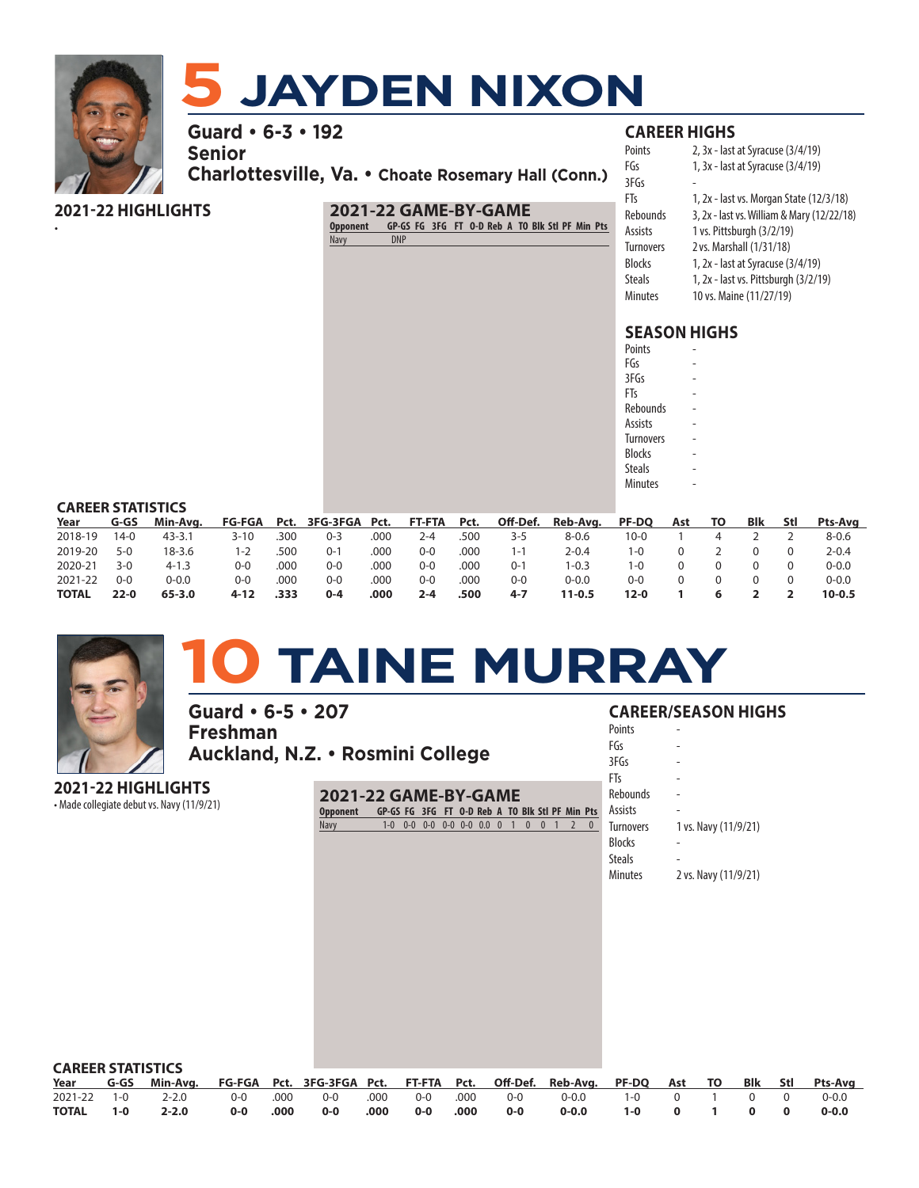

•

## **5 JAYDEN NIXON**

**Guard • 6-3 • 192** 

**Senior**

**Charlottesville, Va. • Choate Rosemary Hall (Conn.)**

## **2021-22 HIGHLIGHTS**

## **2021-22 GAME-BY-GAME**

**Opponent GP-GS FG 3FG FT O-D Reb A TO Blk Stl PF Min Pts** Navy

## **CAREER HIGHS**

| Points           | 2, 3x - last at Syracuse (3/4/19)          |
|------------------|--------------------------------------------|
| FGs              | 1, 3x - last at Syracuse (3/4/19)          |
| 3FGs             |                                            |
| FTs              | 1, 2x - last vs. Morgan State (12/3/18)    |
| Rebounds         | 3, 2x - last vs. William & Mary (12/22/18) |
| Assists          | 1 vs. Pittsburgh (3/2/19)                  |
| <b>Turnovers</b> | 2 vs. Marshall (1/31/18)                   |
| Blocks           | 1, 2x - last at Syracuse (3/4/19)          |
| Steals           | 1, 2x - last vs. Pittsburgh (3/2/19)       |
| Minutes          | 10 vs. Maine (11/27/19)                    |

## **SEASON HIGHS**

| Points           |  |
|------------------|--|
| FGs              |  |
| 3FGs             |  |
| FTs              |  |
| Rebounds         |  |
| Assists          |  |
| <b>Turnovers</b> |  |
| <b>Blocks</b>    |  |
| Steals           |  |
| <b>Minutes</b>   |  |
|                  |  |

## **CAREER STATISTICS**

| Year         | G-GS     | Min-Ava.   |          |      | FG-FGA Pct. 3FG-3FGA Pct. FT-FTA Pct. |      |         |      | Off-Def. | Reb-Avg.   | <b>PF-DQ</b> | Ast | TO. | Blk | Stl | Pts-Ava    |
|--------------|----------|------------|----------|------|---------------------------------------|------|---------|------|----------|------------|--------------|-----|-----|-----|-----|------------|
| 2018-19      | $14-0$   | $43 - 3.1$ | $3 - 10$ | .300 | $0 - 3$                               | .000 | 2-4     | 500. | 3-5      | $8 - 0.6$  | 10-0         |     |     |     |     | 8-0.6      |
| 2019-20      | $5-0$    | 18-3.6     | 1-2      | .500 | 0-1                                   | .000 | 0-0     | .000 | 1-1      | 2-0.4      | 1-0          |     |     |     |     | $2 - 0.4$  |
| 2020-21      | $3-0$    | $4 - 1.3$  | ი-ი      | .000 | 0-0                                   | .000 | 0-0     | .000 | $0 - 7$  | $-0.3$     | I-0          |     |     |     |     | $0 - 0.0$  |
| 2021-22      | $0 - 0$  | 0-0.0      | 0-0      | .000 | 0-0                                   | .000 | 0-0     | .000 | $0 - 0$  | $0 - 0.0$  | 0-0          |     |     |     |     | $0 - 0.0$  |
| <b>TOTAL</b> | $22 - 0$ | $65 - 3.0$ | 4-12     | .333 | $0 - 4$                               | .000 | $2 - 4$ | .500 | $4 - 7$  | $11 - 0.5$ | 12-0         |     |     |     |     | $10 - 0.5$ |



# **10 TAINE MURRAY**

**Guard • 6-5 • 207 Freshman Auckland, N.Z. • Rosmini College**

**2021-22 HIGHLIGHTS**

• Made collegiate debut vs. Navy (11/9/21) **2021-22 GAME-BY-GAME Opponent GP-GS FG 3FG FT O-D Reb A TO Blk Stl PF Min Pts** Navy 1-0 0-0 0-0 0-0 0-0 0.0 0 1 0 0 1 2 0

## **CAREER/SEASON HIGHS**

| Points           |                      |
|------------------|----------------------|
| FGs              |                      |
| 3FGs             |                      |
| FTs              |                      |
| Rebounds         |                      |
| Assists          |                      |
| <b>Turnovers</b> | 1 vs. Navy (11/9/21) |
| <b>Blocks</b>    |                      |
| <b>Steals</b>    |                      |
| Minutes          | 2 vs. Navy (11/9/21) |

| <b>CAREER STATISTICS</b> |         |                                                                                                         |     |      |     |      |       |                    |                   |                   |               |  |  |           |
|--------------------------|---------|---------------------------------------------------------------------------------------------------------|-----|------|-----|------|-------|--------------------|-------------------|-------------------|---------------|--|--|-----------|
|                          |         | Year G-GS Min-Avg. FG-FGA Pct. 3FG-3FGA Pct. FT-FTA Pct. Off-Def. Reb-Avg. PF-DQ Ast TO Blk Stl Pts-Avg |     |      |     |      |       |                    |                   |                   |               |  |  |           |
|                          |         | 2021-22 1-0 2-2.0                                                                                       |     |      |     |      |       |                    | 0-0 0-0 000. 000. | 0-0.0 1-0 0 1 0 0 |               |  |  | 0-0.0     |
| <b>TOTAL</b>             | $1 - 0$ | $2 - 2.0$                                                                                               | 0-0 | .000 | 0-0 | .000 | $O-O$ | $\sim$ .000 $\sim$ | 0-0               | 0-0.0             | $1-0$ 0 1 0 0 |  |  | $0 - 0.0$ |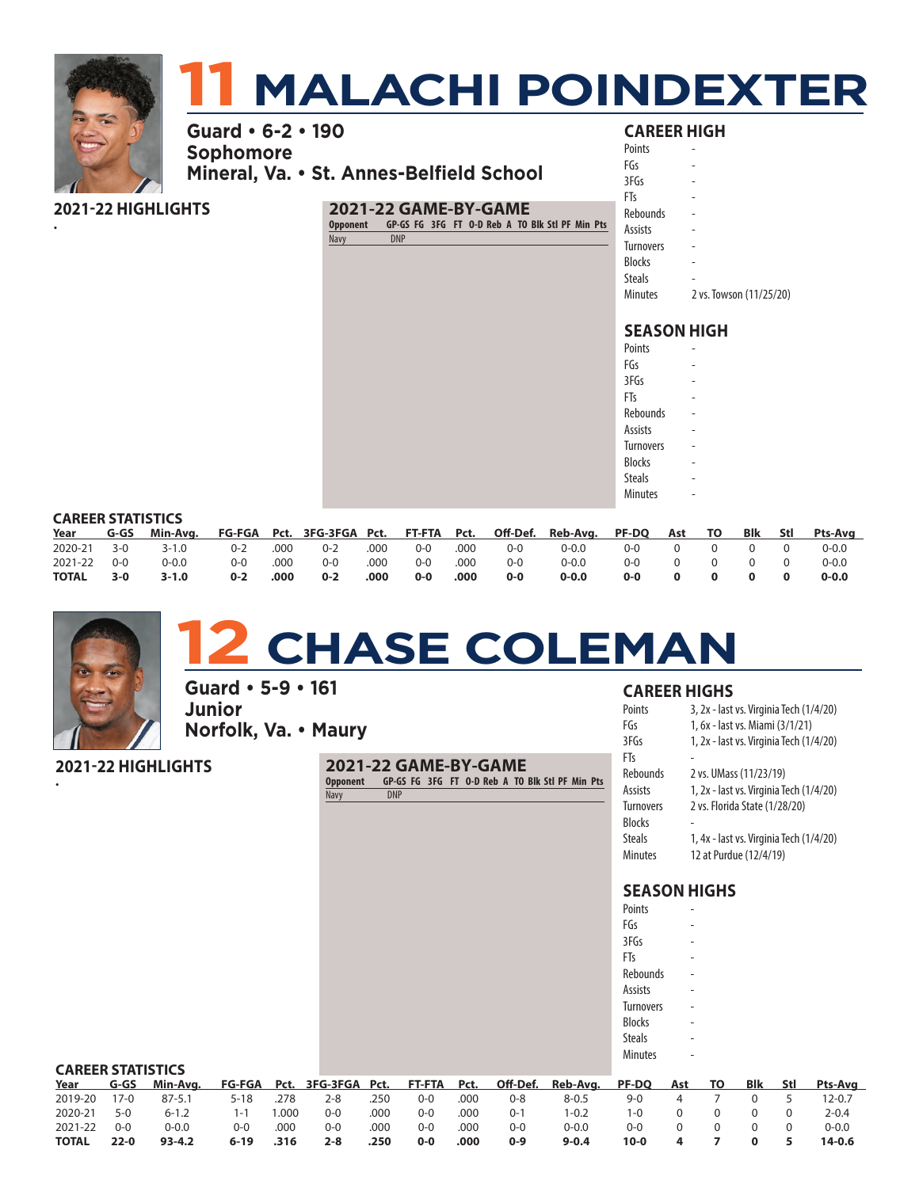

## **2021-22 HIGHLIGHTS**

•

### **2021-22 GAME-BY-GAME**

**Opponent GP-GS FG 3FG FT O-D Reb A TO Blk Stl PF Min Pts** Navy

| 3FGs             |                         |
|------------------|-------------------------|
| FTs              |                         |
| Rebounds         |                         |
| Assists          |                         |
| <b>Turnovers</b> |                         |
| <b>Blocks</b>    |                         |
| <b>Steals</b>    |                         |
| <b>Minutes</b>   | 2 vs. Towson (11/25/20) |
|                  |                         |

## **SEASON HIGH**

| Points           |  |
|------------------|--|
| FGs              |  |
| 3FGs             |  |
| FTs              |  |
| Rebounds         |  |
| <b>Assists</b>   |  |
| <b>Turnovers</b> |  |
| <b>Blocks</b>    |  |
| <b>Steals</b>    |  |
| <b>Minutes</b>   |  |

### **CAREER STATISTICS**

|             |       | Year G-GS Min-Avg. FG-FGA Pct. 3FG-3FGA Pct. FT-FTA Pct. Off-Def. Reb-Avg. PF-DQ Ast TO Blk Stl Pts-Avg |          |      |                                |      |                        |      |       |                     |             |                                                 |                                                 |           |
|-------------|-------|---------------------------------------------------------------------------------------------------------|----------|------|--------------------------------|------|------------------------|------|-------|---------------------|-------------|-------------------------------------------------|-------------------------------------------------|-----------|
|             |       | 2020-21 3-0 3-1.0                                                                                       |          |      | 0-2 .000 0-2 .000 0-0 .000 0-0 |      |                        |      |       | 0-0.0 0-0 0 0 0 0 0 |             |                                                 |                                                 | 0-0.0     |
| 2021-22 0-0 |       | 0-0.0                                                                                                   | 0-0 .000 |      | $O-O$                          |      | 0-0 .000 0-0 .000 .000 |      |       | $0 - 0.0$           | 0-0 0 0 0 0 |                                                 |                                                 | 0-0.0     |
| TOTAL       | $3-0$ | 3-1.0                                                                                                   | $0-2$    | .000 | $0-2$                          | .000 | $O-O$                  | .000 | $O-O$ | $0 - 0.0$           | 0-0         | $\overline{\mathbf{0}}$ $\overline{\mathbf{0}}$ | $\overline{\mathbf{0}}$ $\overline{\mathbf{0}}$ | $0 - 0.0$ |



•

## **12 CHASE COLEMAN**

**Guard • 5-9 • 161 Junior Norfolk, Va. • Maury**

**2021-22 HIGHLIGHTS**

**2021-22 GAME-BY-GAME Opponent GP-GS FG 3FG FT O-D Reb A TO Blk Stl PF Min Pts** Navy DNP

### **CAREER HIGHS**

| Points           | 3, 2x - last vs. Virginia Tech (1/4/20) |
|------------------|-----------------------------------------|
| FGs              | 1, 6x - last vs. Miami (3/1/21)         |
| 3FGs             | 1, 2x - last vs. Virginia Tech (1/4/20) |
| FTs              |                                         |
| Rebounds         | 2 vs. UMass (11/23/19)                  |
| Assists          | 1, 2x - last vs. Virginia Tech (1/4/20) |
| <b>Turnovers</b> | 2 vs. Florida State (1/28/20)           |
| <b>Blocks</b>    |                                         |
| <b>Steals</b>    | 1, 4x - last vs. Virginia Tech (1/4/20) |
| Minutes          | 12 at Purdue (12/4/19)                  |

| Points           |  |
|------------------|--|
| FGs              |  |
| 3FGs             |  |
| FTs              |  |
| Rebounds         |  |
| Assists          |  |
| <b>Turnovers</b> |  |
| <b>Blocks</b>    |  |
| <b>Steals</b>    |  |
| <b>Minutes</b>   |  |

| <b>CAREER STATISTICS</b> |          |            |          |      |         |      |         |      |         |                                                               |              |     |     |     |       |           |
|--------------------------|----------|------------|----------|------|---------|------|---------|------|---------|---------------------------------------------------------------|--------------|-----|-----|-----|-------|-----------|
| Year                     | G-GS     | Min-Ava.   |          |      |         |      |         |      |         | FG-FGA Pct. 3FG-3FGA Pct. FT-FTA Pct. Off-Def. Reb-Avg. PF-DQ |              | Ast | TO. | Blk | - Stl | Pts-Avg   |
| 2019-20                  | $17-0$   | $87 - 5.1$ | 5-18     | .278 | $2 - 8$ | .250 | $0 - 0$ | .000 | $0 - 8$ | $8 - 0.5$                                                     | $9 - 0$      |     |     |     |       | 12-0.7    |
| 2020-21                  | $5-0$    | $6 - 1.2$  | 1-1      | .000 | $O - O$ | .000 | $0 - 0$ | .000 | $0 - 1$ | $1 - 0.2$                                                     | $1 - \Omega$ |     |     |     |       | $2 - 0.4$ |
| 2021-22                  | $0 - 0$  | $0 - 0.0$  | ი-ი      | .000 | $0 - 0$ | .000 | $0 - 0$ | .000 | $0 - 0$ | $0 - 0.0$                                                     | 0-0          |     |     |     |       | $0 - 0.0$ |
| <b>TOTAL</b>             | $22 - 0$ | $93 - 4.2$ | $6 - 19$ | .316 | $2 - 8$ | .250 | $0 - 0$ | .000 | $0-9$   | $9 - 0.4$                                                     | 10-0         |     |     |     |       | $14-0.6$  |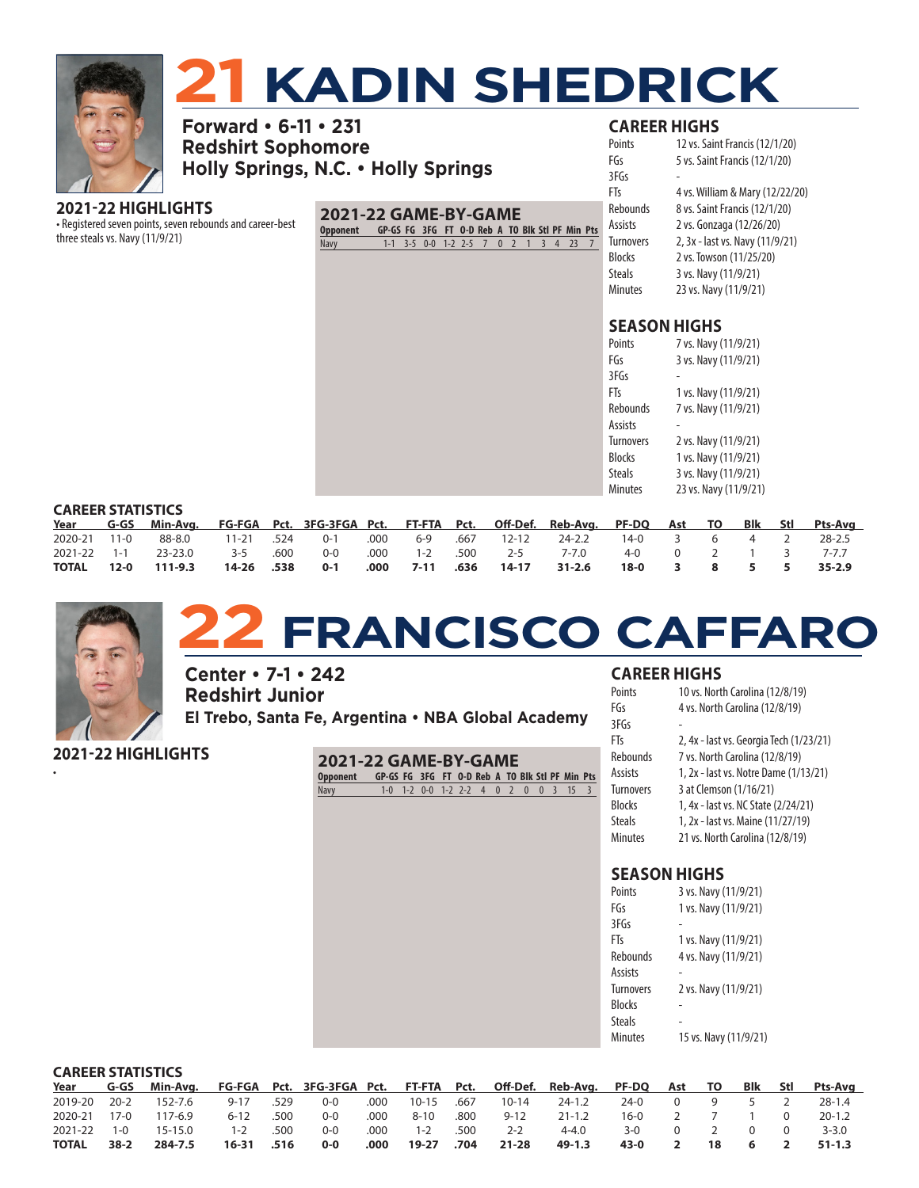

# **221 <b>XADIN SHEDRICK**<br>3 • 6-11 • 231

**Forward • 6-11 • 231 Redshirt Sophomore Holly Springs, N.C. • Holly Springs**

## **2021-22 HIGHLIGHTS**

• Registered seven points, seven rebounds and career-best three steals vs. Navy (11/9/21)

## **2021-22 GAME-BY-GAME**

**Opponent GP-GS FG 3FG FT O-D Reb A TO Blk Stl PF Min Pts** Navy 1-1 3-5 0-0 1-2 2-5 7 0 2 1 3 4 23 7

| <b>CAREER HIGHS</b> |  |  |  |  |  |
|---------------------|--|--|--|--|--|
|---------------------|--|--|--|--|--|

| Points           | 12 vs. Saint Francis (12/1/20)  |
|------------------|---------------------------------|
| FGs              | 5 vs. Saint Francis (12/1/20)   |
| 3FGs             |                                 |
| FTs              | 4 vs. William & Mary (12/22/20) |
| Rebounds         | 8 vs. Saint Francis (12/1/20)   |
| Assists          | 2 vs. Gonzaga (12/26/20)        |
| <b>Turnovers</b> | 2, 3x - last vs. Navy (11/9/21) |
| <b>Blocks</b>    | 2 vs. Towson (11/25/20)         |
| <b>Steals</b>    | 3 vs. Navy (11/9/21)            |
| <b>Minutes</b>   | 23 vs. Navy (11/9/21)           |
|                  |                                 |

## **SEASON HIGHS**

| Points           | 7 vs. Navy (11/9/21)  |
|------------------|-----------------------|
| FGs              | 3 vs. Navy (11/9/21)  |
| 3FGs             |                       |
| FTs              | 1 vs. Navy (11/9/21)  |
| Rebounds         | 7 vs. Navy (11/9/21)  |
| Assists          |                       |
| <b>Turnovers</b> | 2 vs. Navy (11/9/21)  |
| <b>Blocks</b>    | 1 vs. Navy (11/9/21)  |
| Steals           | 3 vs. Navy (11/9/21)  |
| Minutes          | 23 vs. Navy (11/9/21) |

### **CAREER STATISTICS**

|            | Year G-GS Min-Avg. FG-FGA Pct. 3FG-3FGA Pct. FT-FTA Pct. Off-Def. Reb-Avg. PF-DQ Ast TO Blk Stl Pts-Avg |  |  |  |                                                                           |  |  |  |
|------------|---------------------------------------------------------------------------------------------------------|--|--|--|---------------------------------------------------------------------------|--|--|--|
|            | 2020-21 11-0 88-8.0 11-21 .524 0-1 .000 6-9 .667 12-12 24-2.2 14-0 3 6 4 2 28-2.5                       |  |  |  |                                                                           |  |  |  |
|            | 2021-22 1-1 23-23.0 3-5 .600 0-0 .000 1-2 .500 2-5 7-7.0 4-0 0 2 1 3 7-7.7                              |  |  |  |                                                                           |  |  |  |
| TOTAL 12-0 | 111-9.3                                                                                                 |  |  |  | 14-26 .538  0-1  .000  7-11 .636  14-17  31-2.6  18-0  3  8  5  5  35-2.9 |  |  |  |



## **22 FRANCISCO CAFFARO**

**Center • 7-1 • 242 Redshirt Junior El Trebo, Santa Fe, Argentina • NBA Global Academy**

| 2021-22 HIGHLIGHTS | 2021-22 GAME-BY-GAME |                                                 |                                        |  |  |  |  |  |
|--------------------|----------------------|-------------------------------------------------|----------------------------------------|--|--|--|--|--|
|                    | <b>Opponent</b>      | GP-GS FG 3FG FT 0-D Reb A TO Blk Stl PF Min Pts |                                        |  |  |  |  |  |
|                    | Navy                 |                                                 | $1-0$ 1-2 0-0 1-2 2-2 4 0 2 0 0 3 15 3 |  |  |  |  |  |

## **CAREER HIGHS**

| Points           | 10 vs. North Carolina (12/8/19)         |
|------------------|-----------------------------------------|
| FGs              | 4 vs. North Carolina (12/8/19)          |
| 3FGs             |                                         |
| FTs              | 2, 4x - last vs. Georgia Tech (1/23/21) |
| <b>Rebounds</b>  | 7 vs. North Carolina (12/8/19)          |
| Assists          | 1, 2x - last vs. Notre Dame (1/13/21)   |
| <b>Turnovers</b> | 3 at Clemson (1/16/21)                  |
| <b>Blocks</b>    | 1, 4x - last vs. NC State (2/24/21)     |
| <b>Steals</b>    | 1, 2x - last vs. Maine (11/27/19)       |
| <b>Minutes</b>   | 21 vs. North Carolina (12/8/19)         |

| Points           | 3 vs. Navy (11/9/21)  |
|------------------|-----------------------|
| FGs              | 1 vs. Navy (11/9/21)  |
| 3FGs             |                       |
| FTs              | 1 vs. Navy (11/9/21)  |
| Rebounds         | 4 vs. Navy (11/9/21)  |
| Assists          |                       |
| <b>Turnovers</b> | 2 vs. Navy (11/9/21)  |
| <b>Blocks</b>    |                       |
| Steals           |                       |
| Minutes          | 15 vs. Navy (11/9/21) |

|              | <b>CAREER STATISTICS</b> |               |            |      |         |      |           |      |           |                                                                      |      |          |          |                 |
|--------------|--------------------------|---------------|------------|------|---------|------|-----------|------|-----------|----------------------------------------------------------------------|------|----------|----------|-----------------|
| Year         |                          | G-GS Min-Avg. |            |      |         |      |           |      |           | FG-FGA Pct. 3FG-3FGA Pct. FT-FTA Pct. Off-Def. Reb-Avg. PF-DQ Ast TO |      |          |          | Blk Stl Pts-Avg |
| 2019-20      | 20-2                     | 152-7.6       | $9 - 17$   | .529 | $0 - 0$ | .000 | $10 - 15$ | .667 | $10 - 14$ | $24 - 1.2$                                                           | 24-0 | $\Omega$ |          | $28 - 1.4$      |
| 2020-21      | $17-0$                   | 117-6.9       | $6 - 12$   | .500 | $0 - 0$ | .000 | $8 - 10$  | .800 | $9 - 12$  | $21 - 1.2$                                                           | 16-0 |          |          | $20 - 1.2$      |
| 2021-22      | $1 - 0$                  | $15 - 15.0$   | $1 - 2$    | .500 | $0 - 0$ | .000 | 1-2       | .500 | $2 - 2$   | $4 - 4.0$                                                            | 3-0  | 0        | $\Omega$ | $3 - 3.0$       |
| <b>TOTAL</b> | $38-2$                   | 284-7.5       | 16-31 .516 |      | $0 - 0$ | .000 | 19-27     | .704 | $21 - 28$ | 49-1.3                                                               | 43-0 |          | -6       | $51-1.3$        |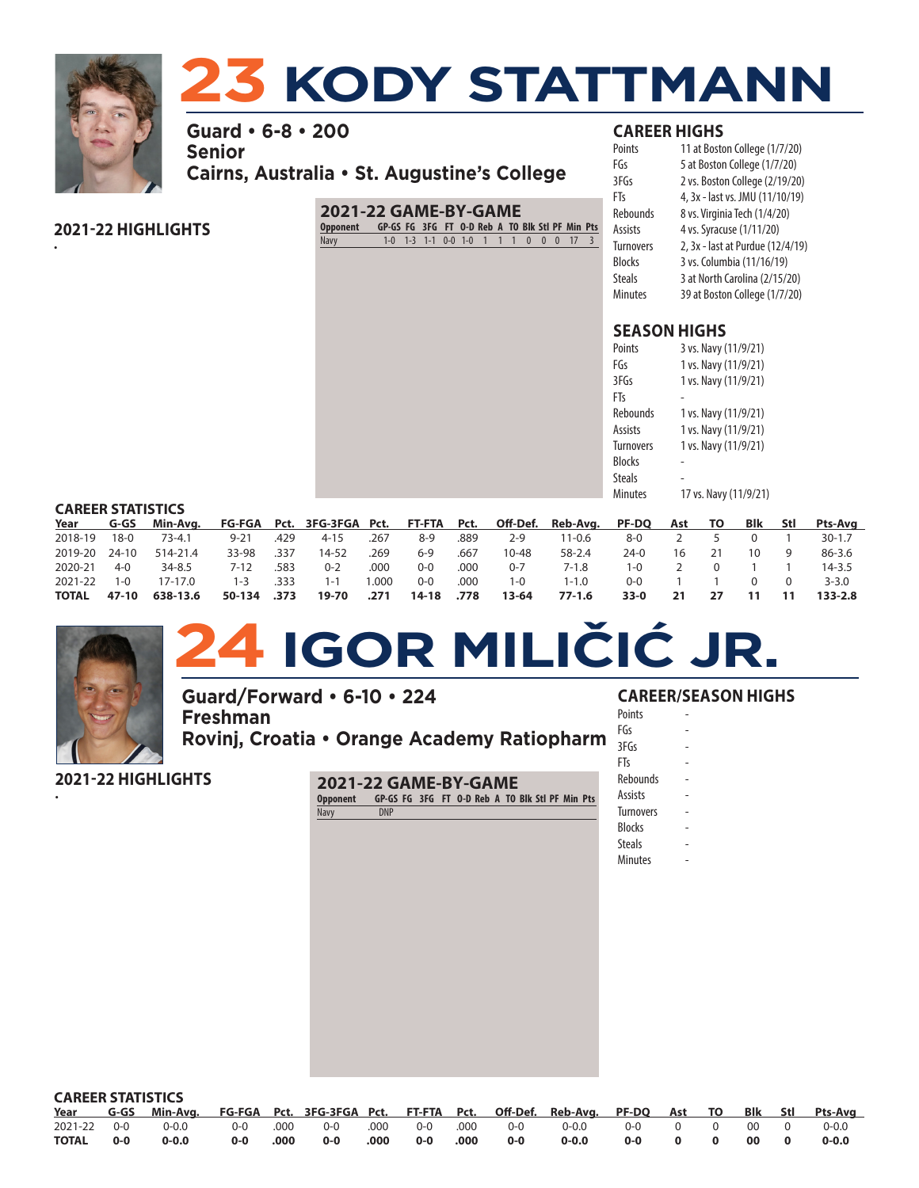

•

# **23 KODY STATTMANN**

**Guard • 6-8 • 200 Senior Cairns, Australia • St. Augustine's College**

## **2021-22 HIGHLIGHTS**

## **2021-22 GAME-BY-GAME**

**Opponent GP-GS FG 3FG FT O-D Reb A TO Blk Stl PF Min Pts** Navy 1-0 1-3 1-1 0-0 1-0 1 1 1 0 0 0 17 3

## **CAREER HIGHS**

| Points           | 11 at Boston College (1/7/20)    |
|------------------|----------------------------------|
| FGs              | 5 at Boston College (1/7/20)     |
| 3FGs             | 2 vs. Boston College (2/19/20)   |
| FTs              | 4, 3x - last vs. JMU (11/10/19)  |
| <b>Rebounds</b>  | 8 vs. Virginia Tech (1/4/20)     |
| Assists          | 4 vs. Syracuse (1/11/20)         |
| <b>Turnovers</b> | 2, 3x - last at Purdue (12/4/19) |
| Blocks           | 3 vs. Columbia (11/16/19)        |
| <b>Steals</b>    | 3 at North Carolina (2/15/20)    |
| <b>Minutes</b>   | 39 at Boston College (1/7/20)    |
|                  |                                  |

## **SEASON HIGHS**

| Points           | 3 vs. Navy (11/9/21)  |
|------------------|-----------------------|
| FGs              | 1 vs. Navy (11/9/21)  |
| 3FGs             | 1 vs. Navy (11/9/21)  |
| FTs              |                       |
| Rebounds         | 1 vs. Navy (11/9/21)  |
| Assists          | 1 vs. Navy (11/9/21)  |
| <b>Turnovers</b> | 1 vs. Navy (11/9/21)  |
| Blocks           |                       |
| Steals           |                       |
| Minutes          | 17 vs. Navy (11/9/21) |

### **CAREER STATISTICS**

| Year          | G-GS        |            |          |      |          |       |         |      |         | Min-Avg. FG-FGA Pct. 3FG-3FGA Pct. FT-FTA Pct. Off-Def. Reb-Avg. PF-DQ Ast TO |       |    | <b>Blk</b> | Stl | Pts-Avg     |
|---------------|-------------|------------|----------|------|----------|-------|---------|------|---------|-------------------------------------------------------------------------------|-------|----|------------|-----|-------------|
| 2018-19       | $18-0$      | $73 - 4.1$ | $9 - 21$ | .429 | $4 - 15$ | .267  | $8-9$   | .889 | $2 - 9$ | 11-0.6                                                                        | 8-0   |    |            |     | $30 - 1.7$  |
| 2019-20 24-10 |             | 514-21.4   | 33-98    | .337 | 14-52    | .269  | $6-9$   | .667 | 10-48   | 58-2.4                                                                        | 24-0  | 16 |            |     | $86-3.6$    |
| 2020-21       | $4 - 0$     | $34 - 8.5$ | 7-12     | .583 | $0 - 2$  | .000  | $0 - 0$ | .000 | $0 - 7$ | 7-1.8                                                                         | 1-0   |    |            |     | $14 - 3.5$  |
| 2021-22       | 1- $\Omega$ | 17-17.0    | $1 - 3$  | .333 | $1 - 1$  | 1.000 | $0 - 0$ | .000 | 1-ດ     | 1-1.0                                                                         | $O-O$ |    |            |     | $3 - 3.0$   |
| <b>TOTAL</b>  | 47-10       | 638-13.6   | 50-134   | .373 | 19-70    | .271  | 14-18   | .778 | 13-64   | $77-1.6$                                                                      | 33-0  | 21 |            |     | $133 - 2.8$ |



# **24 IGOR MILIČIĆ JR.**

**Guard/Forward • 6-10 • 224 Freshman Rovinj, Croatia • Orange Academy Ratiopharm**

**2021-22 HIGHLIGHTS**

• **2021-22 GAME-BY-GAME**

**Opponent GP-GS FG 3FG FT O-D Reb A TO Blk Stl PF Min Pts** Navy DNP

## **CAREER/SEASON HIGHS**

- **Points** FGs -
- $3FGs$
- FTs -
- Rebounds
- Assists -
- **Turnovers**
- **Blocks**
- **Steals**
- **Minutes**

| <b>CAREER STATISTICS</b> |       |                                                                                                         |     |      |     |      |          |  |       |       |              |  |  |       |
|--------------------------|-------|---------------------------------------------------------------------------------------------------------|-----|------|-----|------|----------|--|-------|-------|--------------|--|--|-------|
|                          |       | Year G-GS Min-Avg. FG-FGA Pct. 3FG-3FGA Pct. FT-FTA Pct. Off-Def. Reb-Avg. PF-DQ Ast TO Blk Stl Pts-Avg |     |      |     |      |          |  |       |       |              |  |  |       |
|                          |       |                                                                                                         |     |      |     |      |          |  |       |       |              |  |  |       |
| <b>TOTAL</b>             | $O-O$ | 0-0.0                                                                                                   | 0-0 | .000 | 0-0 | .000 | 0-0 .000 |  | $O-O$ | 0-0.0 | 0-0 0 0 00 0 |  |  | 0-0.0 |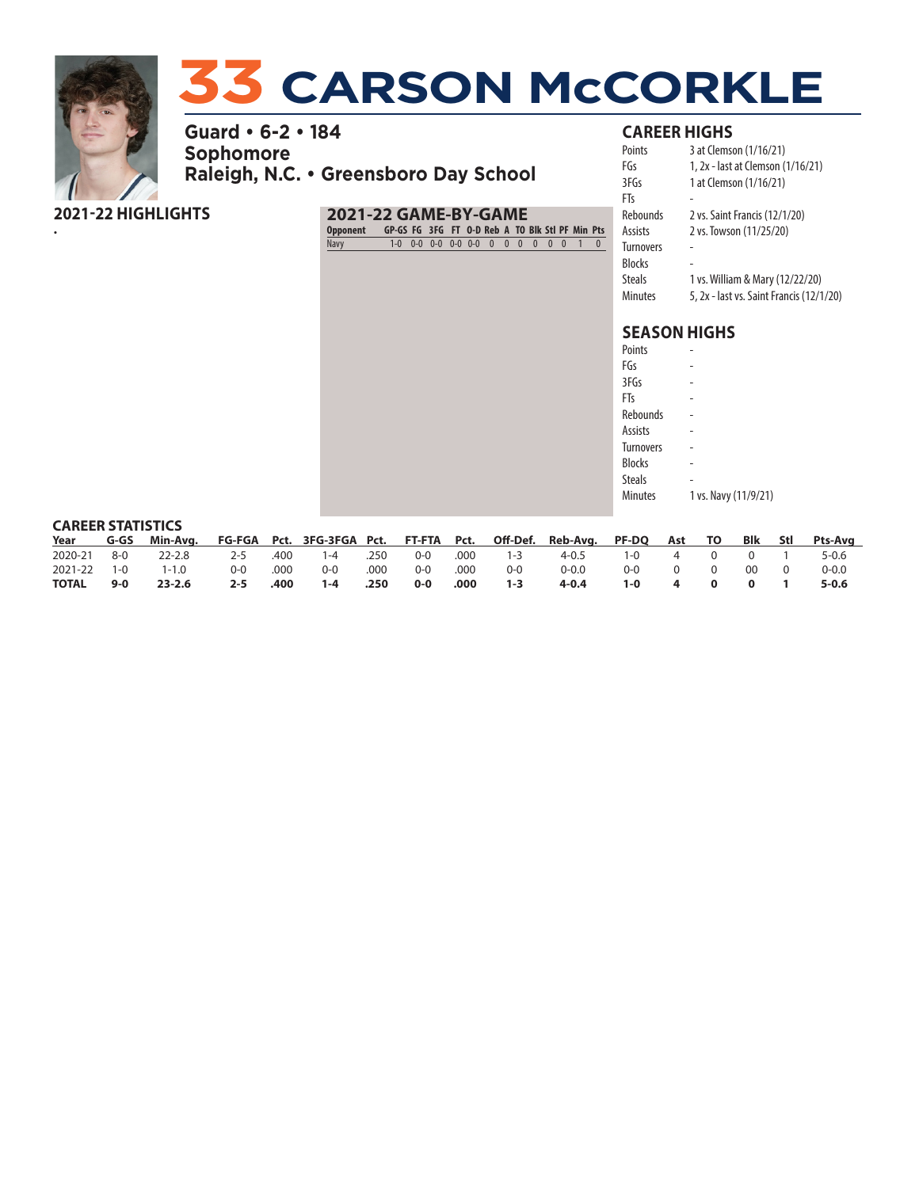

•

# **33 CARSON McCORKLE**

**Guard • 6-2 • 184 Sophomore Raleigh, N.C. • Greensboro Day School**

## **2021-22 HIGHLIGHTS**

**2021-22 GAME-BY-GAME Opponent GP-GS FG 3FG FT O-D Reb A TO Blk Stl PF Min Pts** Navy 1-0 0-0 0-0 0-0 0-0 0 0 0 0 0 0 1 0

## **CAREER HIGHS**

| Points           | 3 at Clemson (1/16/21)                   |
|------------------|------------------------------------------|
| FGs              | 1, 2x - last at Clemson (1/16/21)        |
| 3FGs             | 1 at Clemson (1/16/21)                   |
| FTs              |                                          |
| <b>Rebounds</b>  | 2 vs. Saint Francis (12/1/20)            |
| Assists          | 2 vs. Towson (11/25/20)                  |
| <b>Turnovers</b> |                                          |
| <b>Blocks</b>    |                                          |
| <b>Steals</b>    | 1 vs. William & Mary (12/22/20)          |
| <b>Minutes</b>   | 5, 2x - last vs. Saint Francis (12/1/20) |

| 1 vs. Navy (11/9/21) |
|----------------------|
|                      |

| <b>CAREER STATISTICS</b> |       |                                                                                         |         |      |         |      |         |      |         |           |              |          |          |                |          |                 |
|--------------------------|-------|-----------------------------------------------------------------------------------------|---------|------|---------|------|---------|------|---------|-----------|--------------|----------|----------|----------------|----------|-----------------|
|                          |       | Year G-GS Min-Avg. FG-FGA Pct. 3FG-3FGA Pct. FT-FTA Pct. Off-Def. Reb-Avg. PF-DQ Ast TO |         |      |         |      |         |      |         |           |              |          |          |                |          | Blk Stl Pts-Ava |
| 2020-21 8-0              |       | 22-2.8                                                                                  | 2-5     | .400 | $1 - 4$ | .250 | 0-0     | .000 | $1-3$   | $4 - 0.5$ | $1 - \Omega$ | 4        | $\Omega$ | $\overline{0}$ |          | 5-0.6           |
| 2021-22 1-0              |       | $1 - 1.0$                                                                               | $0-0$   | .000 | $O-O$   | .000 | $O-O$   | .000 | $0 - 0$ | $0 - 0.0$ | ი-ი          | $\Omega$ | $\Omega$ | ററ             | $\Omega$ | $0 - 0.0$       |
| TOTAL                    | $9-0$ | $23 - 2.6$                                                                              | $2 - 5$ | .400 | $1 - 4$ | .250 | $0 - 0$ | .000 | $1 - 3$ | $4 - 0.4$ | $1 - 0$      | 4        |          |                |          | $5 - 0.6$       |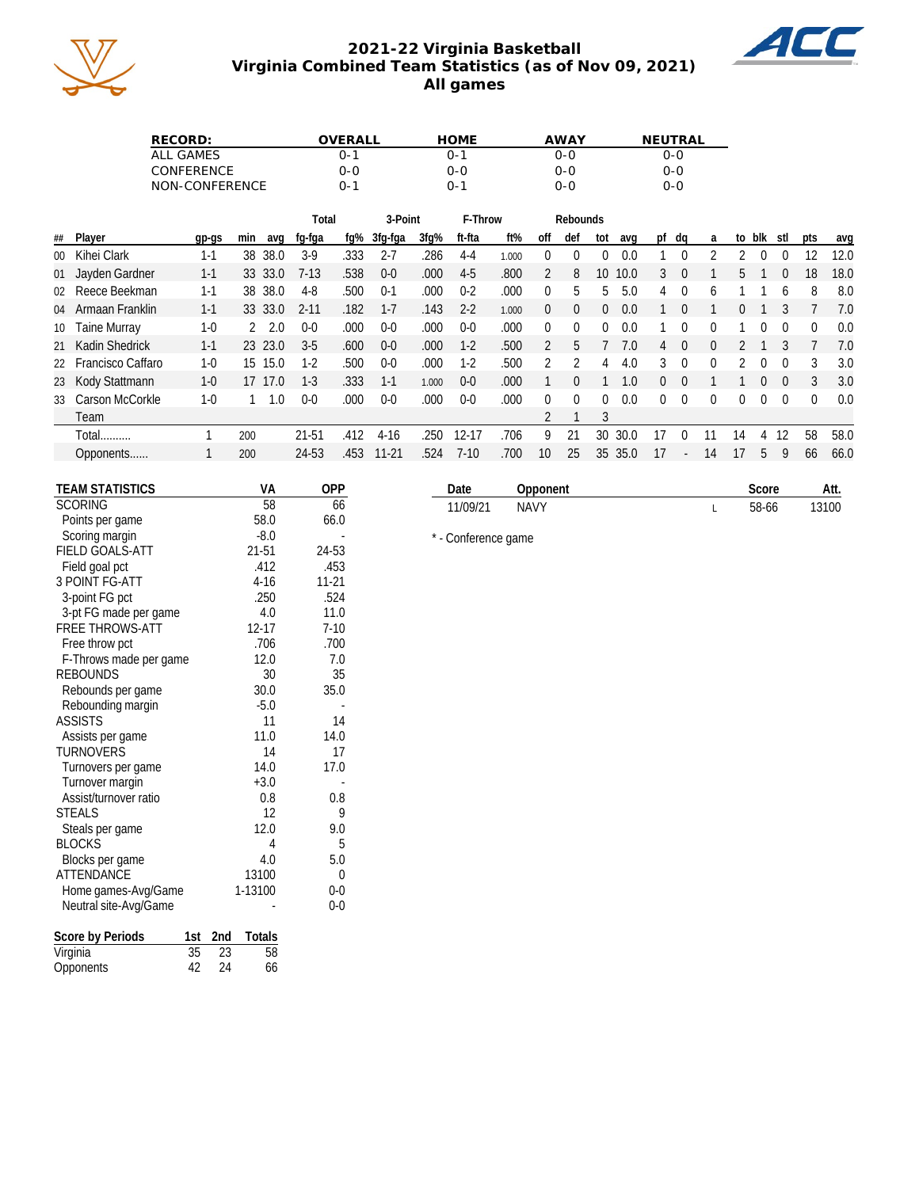

## **2021-22 Virginia Basketball Virginia Combined Team Statistics (as of Nov 09, 2021) All games**



| RECORD:           | WERALI | HOME | AWAY | NFUTRAL |
|-------------------|--------|------|------|---------|
| ALL GAMES         | ი-1    | ი-1  | ი-ი  | ገ-0     |
| <b>CONFERENCE</b> | 0-0    | ი-ი  | 0-0  | ი-ი     |
| NON-CONFERENCE    | ∩−1    | ∩-1  | 0-C  | ი-ი     |

|    |                      |         |     |             | Total    |      | 3-Point   |         | F-Throw   |       |                |          | Rebounds |      |    |                  |          |    |        |                |              |      |
|----|----------------------|---------|-----|-------------|----------|------|-----------|---------|-----------|-------|----------------|----------|----------|------|----|------------------|----------|----|--------|----------------|--------------|------|
| ## | Player               | gp-gs   | min | avg         | fg-fga   | fg%  | 3fg-fga   | $3fq\%$ | ft-fta    | ft%   | off            | def      | tot      | avq  | pt | dq               | a        |    | to blk | stl            | pts          | avg  |
|    | 00 Kihei Clark       | $1 - 1$ |     | 38 38.0     | $3-9$    | .333 | 2-7       | .286    | $4-4$     | 1.000 | 0              |          |          | 0.0  |    |                  |          |    |        | $\bf{0}$       | 12           | 12.0 |
|    | 01 Jayden Gardner    | $1 - 1$ |     | 33 33.0     | $7-13$   | .538 | $0-0$     | .000    | $4-5$     | .800  | $\overline{2}$ | 8        | 10       | 10.0 | 3  | -0               |          | 5  |        | $\overline{0}$ | 18           | 18.0 |
|    | 02 Reece Beekman     | $1 - 1$ | 38  | 38.0        | 4-8      | .500 | $0-1$     | .000    | $0 - 2$   | .000  | 0              | 5        | 5        | 5.0  | 4  | $\Omega$         | 6        |    |        | 6              | 8            | 8.0  |
|    | 04 Armaan Franklin   | $1 - 1$ |     | 33 33.0     | $2 - 11$ | .182 | $1 - 7$   | .143    | $2 - 2$   | 1.000 | 0              | $\Omega$ | 0        | 0.0  |    | $\Omega$         |          | 0  |        |                |              | 7.0  |
|    | 10 Taine Murray      | $1 - 0$ |     | $2^{2}$ 2.0 | $0 - 0$  | .000 | $0-0$     | .000    | $0 - 0$   | .000  | 0              |          |          | 0.0  |    |                  | 0        |    |        |                |              | 0.0  |
|    | 21 Kadin Shedrick    | $1 - 1$ |     | 23 23.0     | $3-5$    | .600 | $0 - 0$   | .000    | $1 - 2$   | .500  | 2              | 5        |          | 7.0  | 4  | $\Omega$         | $\Omega$ |    |        |                |              | 7.0  |
|    | 22 Francisco Caffaro | $1-0$   | 15  | 15.0        | $1-2$    | .500 | $0 - 0$   | .000    | $1-2$     | .500  |                |          | 4        | 4.0  | ্য | $\Omega$         | 0        |    |        | $\Omega$       | 3            | 3.0  |
|    | 23 Kody Stattmann    | $1 - 0$ | 17  | 17.0        | $1-3$    | .333 | $1 - 1$   | 1.000   | $0 - 0$   | .000  |                |          |          | 1.0  | 0  | $\left( \right)$ |          |    | 0      | $\Omega$       | 3            | 3.0  |
|    | 33 Carson McCorkle   | $1-0$   |     | .0          | $0 - 0$  | .000 | $0 - 0$   | .000    | $0 - 0$   | .000  | 0              |          |          | 0.0  | 0  | $\cup$           | 0        | 0  |        | $\Omega$       | $\mathbf{0}$ | 0.0  |
|    | Team                 |         |     |             |          |      |           |         |           |       |                |          | 3        |      |    |                  |          |    |        |                |              |      |
|    | Total                |         | 200 |             | 21-51    | .412 | $4-16$    | .250    | $12 - 17$ | .706  | 9              | 21       | 30       | 30.0 | 17 |                  |          | 14 | 4      | 12             | 58           | 58.0 |
|    | Opponents            |         | 200 |             | 24-53    | .453 | $11 - 21$ | .524    | $7-10$    | .700  | 10             | 25       | 35       | 35.0 | 17 |                  | 14       |    | 5      | 9              | 66           | 66.0 |
|    |                      |         |     |             |          |      |           |         |           |       |                |          |          |      |    |                  |          |    |        |                |              |      |

| <b>TEAM STATISTICS</b>  | VA            | <b>OPP</b> |
|-------------------------|---------------|------------|
| <b>SCORING</b>          | 58            | 66         |
| Points per game         | 58.0          | 66.0       |
| Scoring margin          | $-8.0$        |            |
| <b>FIELD GOALS-ATT</b>  | 21-51         | 24-53      |
| Field goal pct          | .412          | .453       |
| <b>3 POINT FG-ATT</b>   | $4-16$        | $11 - 21$  |
| 3-point FG pct          | .250          | .524       |
| 3-pt FG made per game   | 4.0           | 11.0       |
| <b>FREE THROWS-ATT</b>  | $12 - 17$     | $7-10$     |
| Free throw pct          | .706          | .700       |
| F-Throws made per game  | 12.0          | 7.0        |
| <b>REBOUNDS</b>         | 30            | 35         |
| Rebounds per game       | 30.0          | 35.0       |
| Rebounding margin       | $-5.0$        |            |
| <b>ASSISTS</b>          | 11            | 14         |
| Assists per game        | 11.0          | 14.0       |
| <b>TURNOVERS</b>        | 14            | 17         |
| Turnovers per game      | 14.0          | 17.0       |
| Turnover margin         | $+3.0$        |            |
| Assist/turnover ratio   | 0.8           | 0.8        |
| <b>STEALS</b>           | 12            | 9          |
| Steals per game         | 12.0          | 9.0        |
| <b>BLOCKS</b>           | 4             | 5          |
| Blocks per game         | 4.0           | 5.0        |
| <b>ATTENDANCE</b>       | 13100         | 0          |
| Home games-Avg/Game     | 1-13100       | $0-0$      |
| Neutral site-Avg/Game   |               | $0-0$      |
| Score by Periods<br>1st | 2nd<br>Totals |            |
| 35<br>Virginia          | 23<br>58      |            |
| 42<br>Opponents         | 24<br>66      |            |

| 11/09/21            | <b>NAVY</b> |  | 58-66 | 13100 |
|---------------------|-------------|--|-------|-------|
| * - Conference game |             |  |       |       |

**Date Opponent Score Att.**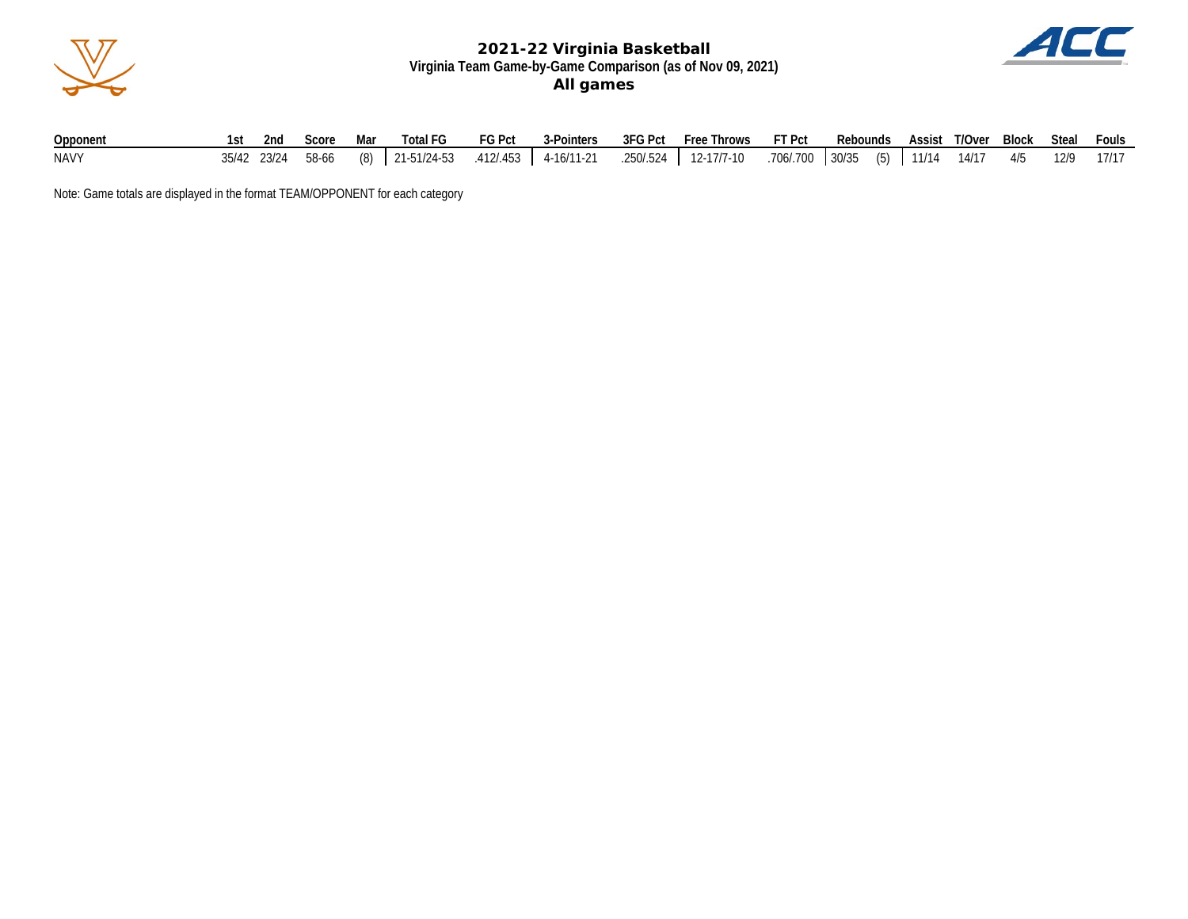



| Opponent    |  |  |  |  | 1st 2nd Score Mar Total FG FG Pct 3-Pointers 3FG Pct Free Throws FT Pct Rebounds Assist T/Over Block Steal Fouls           |  |  |  |  |
|-------------|--|--|--|--|----------------------------------------------------------------------------------------------------------------------------|--|--|--|--|
| <b>NAVY</b> |  |  |  |  | 35/42 23/24 58-66 (8) 21-51/24-53 .412/.453 4-16/11-21 .250/.524 12-17/7-10 .706/.700 30/35 (5) 11/14 14/17 4/5 12/9 17/17 |  |  |  |  |

Note: Game totals are displayed in the format TEAM/OPPONENT for each category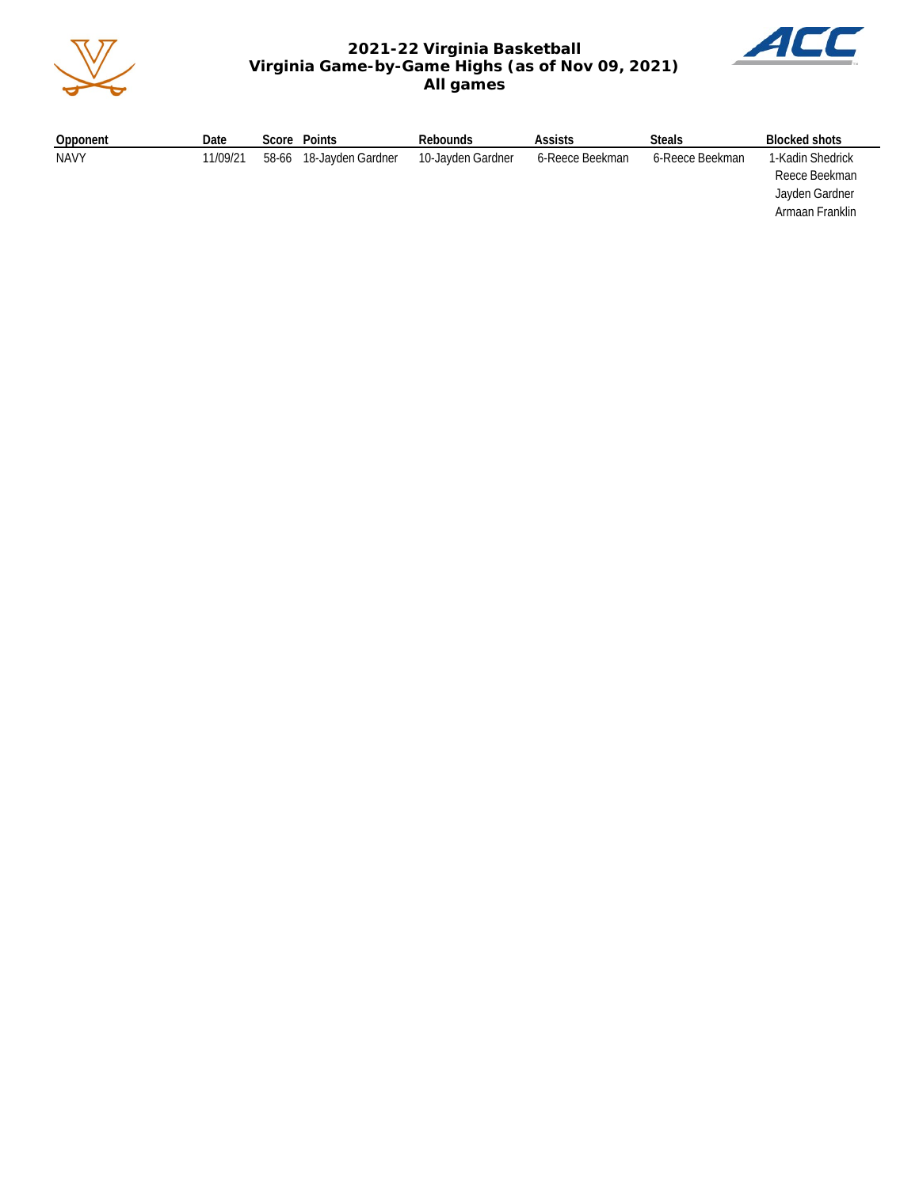

## **2021-22 Virginia Basketball Virginia Game-by-Game Highs (as of Nov 09, 2021) All games**



| Opponent    | Date     | Score | Points            | Rebounds          | <b>Assists</b>  | <b>Steals</b>   | Blocked shots                                                          |
|-------------|----------|-------|-------------------|-------------------|-----------------|-----------------|------------------------------------------------------------------------|
| <b>NAVY</b> | 11/09/21 | 58-66 | 18-Javden Gardner | 10-Jayden Gardner | 6-Reece Beekman | 6-Reece Beekman | 1-Kadin Shedrick<br>Reece Beekman<br>Jayden Gardner<br>Armaan Franklin |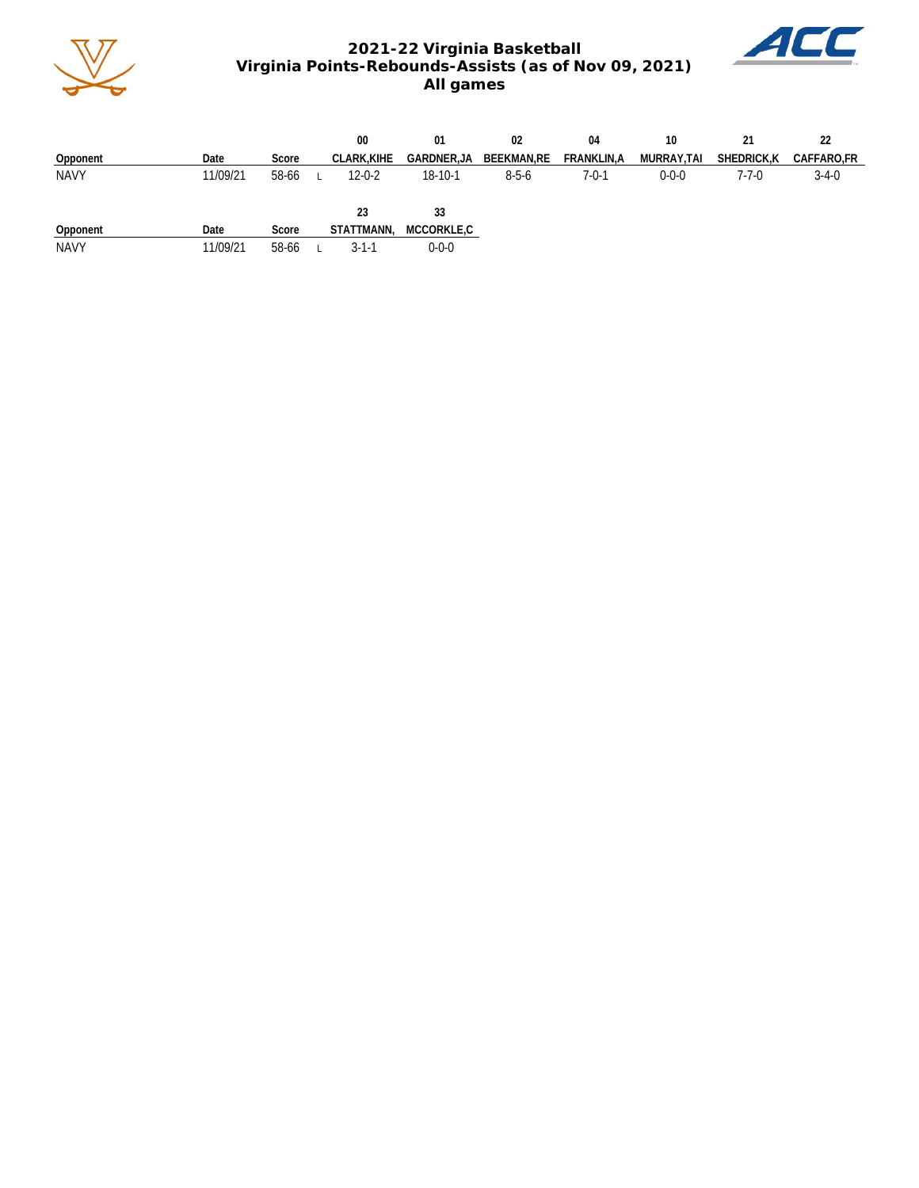

## **2021-22 Virginia Basketball Virginia Points-Rebounds-Assists (as of Nov 09, 2021) All games**



|             |          |       | 00                | 01          | 02          | 04          | 10          |             |             |
|-------------|----------|-------|-------------------|-------------|-------------|-------------|-------------|-------------|-------------|
| Opponent    | Date     | Score | <b>CLARK.KIHE</b> | GARDNER,JA  | BEEKMAN,RE  | FRANKLIN,A  | MURRAY,TAI  | SHEDRICK, K | CAFFARO,FR  |
| <b>NAVY</b> | 11/09/21 | 58-66 | $12 - 0 - 2$      | 18-10-1     | $8 - 5 - 6$ | $7 - 0 - 1$ | $0 - 0 - 0$ | $7 - 7 - 0$ | $3 - 4 - 0$ |
|             |          |       | 23                | 33          |             |             |             |             |             |
| Opponent    | Date     | Score | STATTMANN,        | MCCORKLE,C  |             |             |             |             |             |
| <b>NAVY</b> | 11/09/21 | 58-66 | 3-1-1             | $0 - 0 - 0$ |             |             |             |             |             |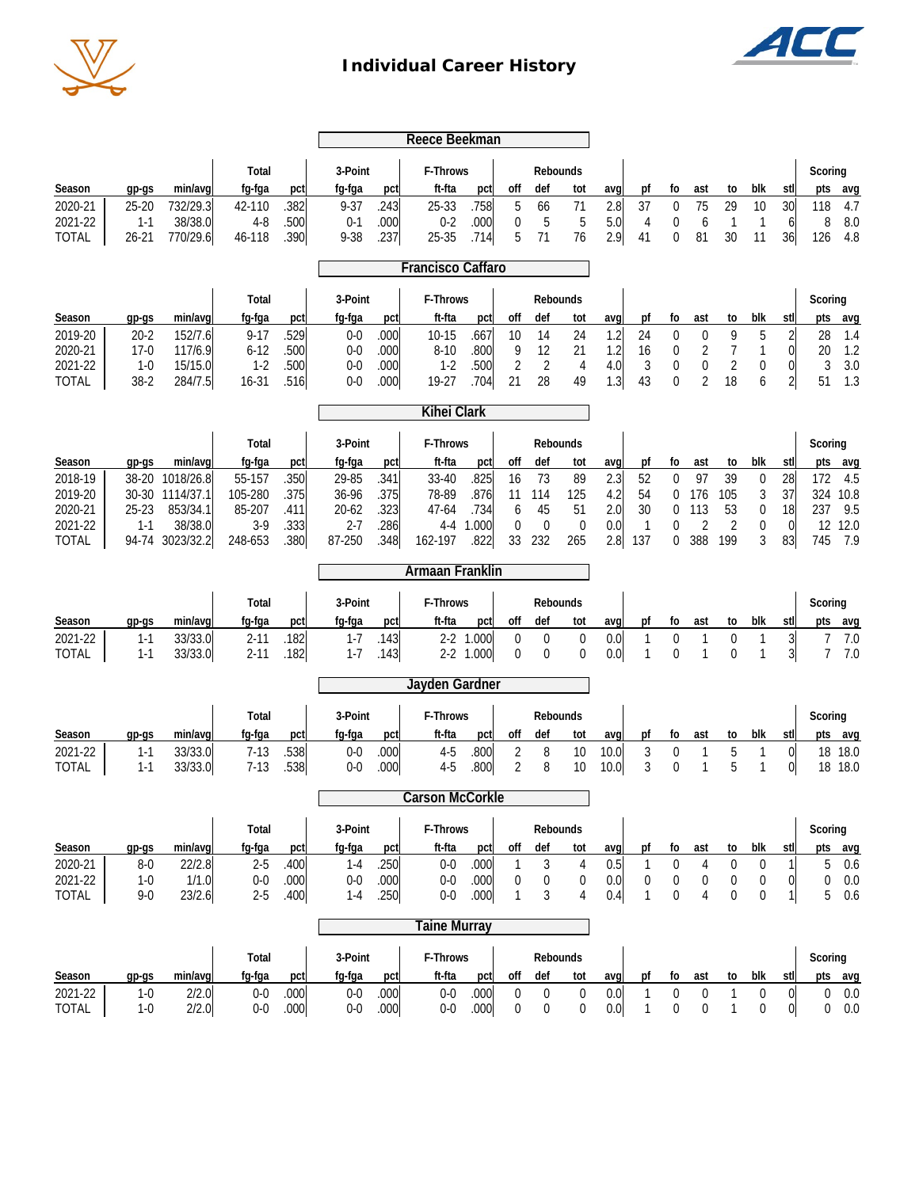

## **Individual Career History**



| Reece Beekman                                                      |                                                 |                                                                             |                                                                    |                                             |                                                                       |                                             |                                                                     |                                              |                                            |                                                          |                                    |                                        |                                             |                                    |                                              |                                                |                                        |                                         |                                                                                              |
|--------------------------------------------------------------------|-------------------------------------------------|-----------------------------------------------------------------------------|--------------------------------------------------------------------|---------------------------------------------|-----------------------------------------------------------------------|---------------------------------------------|---------------------------------------------------------------------|----------------------------------------------|--------------------------------------------|----------------------------------------------------------|------------------------------------|----------------------------------------|---------------------------------------------|------------------------------------|----------------------------------------------|------------------------------------------------|----------------------------------------|-----------------------------------------|----------------------------------------------------------------------------------------------|
| Season<br>2020-21<br>2021-22                                       | $qp-gs$<br>$25 - 20$<br>$1 - 1$                 | min/avg<br>732/29.3<br>38/38.0                                              | Total<br>fq-fqa<br>42-110<br>$4 - 8$                               | pct<br>.382<br>.500                         | 3-Point<br>fg-fga<br>$9 - 37$<br>$0 - 1$                              | pct<br>.243<br>.000                         | F-Throws<br>ft-fta<br>25-33<br>$0 - 2$                              | pct<br>.758<br>.000                          | off<br>5<br>$\boldsymbol{0}$               | Rebounds<br>def<br>66<br>5                               | tot<br>71<br>5                     | avq<br>2.8<br>5.0                      | pf<br>37<br>4                               | fo<br>$\boldsymbol{0}$<br>0        | ast<br>75<br>6                               | to<br>29<br>$\mathbf{1}$                       | blk<br>10<br>1                         | stl<br>30<br>6                          | Scoring<br>pts<br>avg<br>4.7<br>118<br>8.0<br>8                                              |
| TOTAL                                                              | $26 - 21$                                       | 770/29.6                                                                    | 46-118                                                             | .390                                        | 9-38                                                                  | .237                                        | 25-35                                                               | .714                                         | 5                                          | 71                                                       | 76                                 | 2.9                                    | 41                                          | 0                                  | 81                                           | 30                                             | 11                                     | 36                                      | 4.8<br>126                                                                                   |
|                                                                    |                                                 |                                                                             |                                                                    |                                             | <b>Francisco Caffaro</b>                                              |                                             |                                                                     |                                              |                                            |                                                          |                                    |                                        |                                             |                                    |                                              |                                                |                                        |                                         |                                                                                              |
| Season<br>2019-20<br>2020-21                                       | gp-gs<br>$20 - 2$<br>$17-0$                     | min/avg<br>152/7.6<br>117/6.9                                               | Total<br>fg-fga<br>$9 - 17$<br>$6 - 12$                            | pct<br>.529                                 | 3-Point<br>fg-fga<br>$0 - 0$<br>$0 - 0$                               | pct<br>.000<br>.000                         | F-Throws<br>ft-fta<br>$10 - 15$<br>$8 - 10$                         | pct<br>.667<br>.800                          | off<br>10<br>9                             | Rebounds<br>def<br>14<br>12                              | tot<br>24<br>21                    | avg<br>1.2<br>1.2                      | pf<br>24                                    | fo<br>$\mathbf 0$                  | ast<br>0                                     | to<br>9                                        | blk<br>5                               | stl<br>$\overline{2}$<br>01             | Scoring<br>pts<br>avg<br>28<br>1.4<br>1.2<br>20                                              |
| 2021-22                                                            | $1 - 0$                                         | 15/15.0                                                                     | $1 - 2$<br>$16 - 31$                                               | .500<br>.500                                | $0-0$<br>$0-0$                                                        | .000                                        | $1-2$<br>19-27                                                      | .500<br>.704                                 | $\overline{2}$<br>21                       | 2<br>28                                                  | 4<br>49                            | 4.0<br>1.3                             | 16<br>3<br>43                               | 0<br>0<br>$\theta$                 | 2<br>0<br>$\overline{2}$                     | 7<br>$\overline{2}$<br>18                      | 1<br>0<br>6                            | $\overline{0}$                          | 3<br>3.0<br>51<br>1.3                                                                        |
| <b>TOTAL</b>                                                       | $38-2$                                          | 284/7.5                                                                     |                                                                    | .516                                        |                                                                       | .000                                        | <b>Kihei Clark</b>                                                  |                                              |                                            |                                                          |                                    |                                        |                                             |                                    |                                              |                                                |                                        | $\overline{2}$                          |                                                                                              |
|                                                                    |                                                 |                                                                             |                                                                    |                                             |                                                                       |                                             |                                                                     |                                              |                                            |                                                          |                                    |                                        |                                             |                                    |                                              |                                                |                                        |                                         |                                                                                              |
| Season<br>2018-19<br>2019-20<br>2020-21<br>2021-22<br><b>TOTAL</b> | gp-gs<br>$38 - 20$<br>25-23<br>$1 - 1$<br>94-74 | min/avg<br>1018/26.8<br>30-30 1114/37.1<br>853/34.1<br>38/38.0<br>3023/32.2 | Total<br>fg-fga<br>55-157<br>105-280<br>85-207<br>$3-9$<br>248-653 | pct<br>.350<br>.375<br>.411<br>.333<br>.380 | 3-Point<br>fg-fga<br>29-85<br>36-96<br>$20 - 62$<br>$2 - 7$<br>87-250 | pct<br>.341<br>.375<br>.323<br>.286<br>.348 | F-Throws<br>ft-fta<br>33-40<br>78-89<br>47-64<br>$4 - 4$<br>162-197 | pct<br>.825<br>.876<br>.734<br>1.000<br>.822 | off<br>16<br>11<br>6<br>$\mathbf{0}$<br>33 | Rebounds<br>def<br>73<br>114<br>45<br>$\mathbf 0$<br>232 | tot<br>89<br>125<br>51<br>0<br>265 | avg<br>2.3<br>4.2<br>2.0<br>0.0<br>2.8 | pf<br>52<br>54<br>30<br>$\mathbf{1}$<br>137 | fo<br>$\theta$<br>0<br>0<br>0<br>0 | ast<br>97<br>176<br>113<br>$\sqrt{2}$<br>388 | to<br>39<br>105<br>53<br>$\overline{2}$<br>199 | blk<br>$\mathbf 0$<br>3<br>0<br>0<br>3 | stl<br>28<br>37<br>18<br>$\Omega$<br>83 | Scoring<br>pts<br>avg<br>172<br>4.5<br>324<br>10.8<br>237<br>9.5<br>12.0<br>12<br>745<br>7.9 |
| Armaan Franklin                                                    |                                                 |                                                                             |                                                                    |                                             |                                                                       |                                             |                                                                     |                                              |                                            |                                                          |                                    |                                        |                                             |                                    |                                              |                                                |                                        |                                         |                                                                                              |
| Season                                                             | $qp-gs$                                         | min/avg                                                                     | Total<br>fq-fqa                                                    | pct                                         | 3-Point<br>fg-fga                                                     | pct                                         | F-Throws<br>ft-fta                                                  | pct                                          | off                                        | Rebounds<br>def                                          | tot                                | avq                                    | рf                                          | fo                                 | ast                                          | to                                             | blk                                    | stll                                    | Scoring<br>pts<br>avg                                                                        |
| 2021-22<br><b>TOTAL</b>                                            | $1 - 1$<br>$1 - 1$                              | 33/33.0<br>33/33.0                                                          | $2 - 11$<br>$2 - 11$                                               | .182<br>.182                                | $1 - 7$<br>$1 - 7$                                                    | .143<br>.143                                | $2 - 2$                                                             | 2-2 1.000<br>1.000                           | $\mathbf{0}$<br>$\theta$                   | $\mathbf{0}$<br>0                                        | $\pmb{0}$<br>0                     | 0.0<br>0.0                             | 1<br>$\mathbf{1}$                           | 0<br>$\Omega$                      | 1<br>1                                       | $\boldsymbol{0}$<br>$\mathbf 0$                | 1<br>$\mathbf{1}$                      | $\frac{3}{2}$<br>$\frac{3}{2}$          | 7.0<br>7<br>7.0<br>7                                                                         |
|                                                                    |                                                 |                                                                             |                                                                    |                                             |                                                                       |                                             | Jayden Gardner                                                      |                                              |                                            |                                                          |                                    |                                        |                                             |                                    |                                              |                                                |                                        |                                         |                                                                                              |
| Season                                                             | gp-gs                                           | min/avg                                                                     | Total<br>fg-fga                                                    | pct                                         | 3-Point<br>fg-fga                                                     | pct                                         | F-Throws<br>ft-fta                                                  | pct                                          | off                                        | Rebounds<br>def                                          | tot                                | avq                                    | pf                                          | fo                                 | ast                                          | to                                             | blk                                    | stl                                     | Scoring<br>pts<br>avg                                                                        |
| 2021-22<br><b>TOTAL</b>                                            | $1 - 1$<br>$1 - 1$                              | 33/33.0<br>33/33.0                                                          | $7 - 13$<br>$7 - 13$                                               | .538<br>.538                                | $0 - 0$<br>$0 - 0$                                                    | .000<br>.000                                | $4-5$<br>$4 - 5$                                                    | .800<br>.800                                 | 2<br>2                                     | 8<br>8                                                   | 10<br>10                           | 10.0<br>10.0                           | $\sqrt{3}$<br>3                             | 0<br>$\theta$                      | $\mathbf{1}$<br>$\mathbf{1}$                 | 5<br>5                                         | 1<br>1                                 | $\overline{0}$<br>01                    | 18 18.0<br>18.0<br>18                                                                        |
|                                                                    |                                                 |                                                                             |                                                                    |                                             |                                                                       |                                             | <b>Carson McCorkle</b>                                              |                                              |                                            |                                                          |                                    |                                        |                                             |                                    |                                              |                                                |                                        |                                         |                                                                                              |
|                                                                    |                                                 |                                                                             | Total                                                              |                                             | 3-Point                                                               |                                             | F-Throws                                                            |                                              |                                            | Rebounds                                                 |                                    |                                        |                                             |                                    |                                              |                                                |                                        |                                         | Scoring                                                                                      |
| Season<br>2020-21                                                  | $qp-gs$<br>$8-0$                                | min/avg<br>22/2.8                                                           | fg-fga<br>$2 - 5$                                                  | pct<br>.400                                 | fg-fga<br>$1 - 4$                                                     | pct<br>.250                                 | ft-fta<br>$0-0$                                                     | pct<br>.000                                  | off<br>1                                   | def<br>3                                                 | tot<br>4                           | avq<br>0.5                             | pf<br>1                                     | fo<br>0                            | ast<br>4                                     | to<br>0                                        | blk<br>0                               | stll                                    | pts<br>avg<br>5<br>0.6                                                                       |
| 2021-22<br><b>TOTAL</b>                                            | $1-0$<br>$9-0$                                  | 1/1.0<br>23/2.6                                                             | $0-0$<br>$2 - 5$                                                   | .000<br>.400                                | $0-0$<br>$1 - 4$                                                      | .000<br>.250                                | $0-0$<br>$0-0$                                                      | .000<br>.000                                 | $\boldsymbol{0}$<br>1                      | 0<br>3                                                   | 0<br>4                             | 0.0<br>0.4                             | $\pmb{0}$<br>$\mathbf{1}$                   | 0<br>0                             | 0<br>$\overline{4}$                          | 0<br>0                                         | 0<br>$\mathbf 0$                       | 01<br>$\mathbf{1}$                      | 0.0<br>0<br>5<br>0.6                                                                         |
| Taine Murray                                                       |                                                 |                                                                             |                                                                    |                                             |                                                                       |                                             |                                                                     |                                              |                                            |                                                          |                                    |                                        |                                             |                                    |                                              |                                                |                                        |                                         |                                                                                              |
| Season<br>2021-22                                                  | $qp-gs$                                         | min/avg<br>2/2.0                                                            | Total<br>fg-fga<br>$0-0$                                           | pct<br>.000                                 | 3-Point<br>fg-fga<br>$0-0$                                            | pct<br>.000                                 | F-Throws<br>ft-fta<br>$0-0$                                         | pct<br>.000                                  | off                                        | Rebounds<br>def                                          | tot<br>$\pmb{0}$                   | avq<br>0.0                             | рf<br>1                                     | fo<br>0                            | ast<br>0                                     | to<br>1                                        | blk<br>0                               | stll<br> 0                              | Scoring<br>pts<br>avg<br>0<br>0.0                                                            |